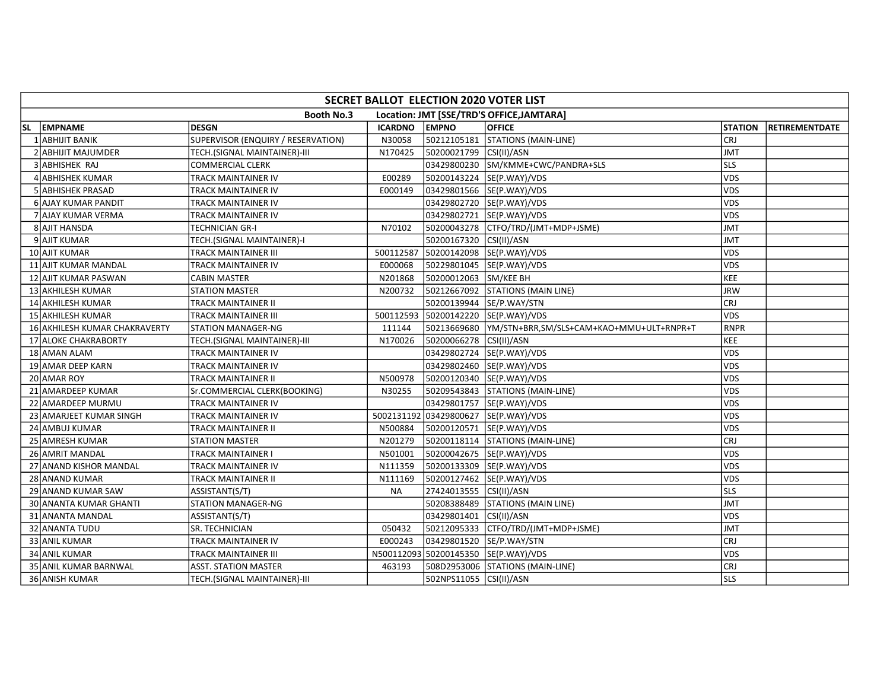|           | SECRET BALLOT ELECTION 2020 VOTER LIST |                                    |                |                           |                                           |                |                       |  |  |  |  |
|-----------|----------------------------------------|------------------------------------|----------------|---------------------------|-------------------------------------------|----------------|-----------------------|--|--|--|--|
|           |                                        | <b>Booth No.3</b>                  |                |                           | Location: JMT [SSE/TRD'S OFFICE, JAMTARA] |                |                       |  |  |  |  |
| <b>SL</b> | <b>EMPNAME</b>                         | <b>DESGN</b>                       | <b>ICARDNO</b> | <b>EMPNO</b>              | <b>OFFICE</b>                             | <b>STATION</b> | <b>RETIREMENTDATE</b> |  |  |  |  |
|           | <b>ABHIJIT BANIK</b>                   | SUPERVISOR (ENQUIRY / RESERVATION) | N30058         | 50212105181               | STATIONS (MAIN-LINE)                      | <b>CRJ</b>     |                       |  |  |  |  |
|           | 2 ABHIJIT MAJUMDER                     | TECH.(SIGNAL MAINTAINER)-III       | N170425        | 50200021799 CSI(II)/ASN   |                                           | <b>JMT</b>     |                       |  |  |  |  |
|           | <b>ABHISHEK RAJ</b>                    | <b>COMMERCIAL CLERK</b>            |                |                           | 03429800230 SM/KMME+CWC/PANDRA+SLS        | sls            |                       |  |  |  |  |
|           | 4 ABHISHEK KUMAR                       | <b>TRACK MAINTAINER IV</b>         | E00289         |                           | 50200143224 SE(P.WAY)/VDS                 | VDS            |                       |  |  |  |  |
|           | <b>ABHISHEK PRASAD</b>                 | TRACK MAINTAINER IV                | E000149        |                           | 03429801566 SE(P.WAY)/VDS                 | VDS            |                       |  |  |  |  |
|           | 6 AJAY KUMAR PANDIT                    | <b>TRACK MAINTAINER IV</b>         |                |                           | 03429802720 SE(P.WAY)/VDS                 | VDS            |                       |  |  |  |  |
|           | 7 AJAY KUMAR VERMA                     | <b>TRACK MAINTAINER IV</b>         |                |                           | 03429802721 SE(P.WAY)/VDS                 | <b>VDS</b>     |                       |  |  |  |  |
|           | 8 AJIT HANSDA                          | <b>TECHNICIAN GR-I</b>             | N70102         |                           | 50200043278 CTFO/TRD/(JMT+MDP+JSME)       | <b>JMT</b>     |                       |  |  |  |  |
|           | 9 AJIT KUMAR                           | TECH.(SIGNAL MAINTAINER)-I         |                | 50200167320 CSI(II)/ASN   |                                           | <b>JMT</b>     |                       |  |  |  |  |
|           | 10 AJIT KUMAR                          | <b>TRACK MAINTAINER III</b>        | 500112587      |                           | 50200142098 SE(P.WAY)/VDS                 | <b>VDS</b>     |                       |  |  |  |  |
|           | 11 AJIT KUMAR MANDAL                   | <b>TRACK MAINTAINER IV</b>         | E000068        |                           | 50229801045 SE(P.WAY)/VDS                 | <b>VDS</b>     |                       |  |  |  |  |
|           | 12 AJIT KUMAR PASWAN                   | <b>CABIN MASTER</b>                | N201868        | 50200012063 SM/KEE BH     |                                           | KEE            |                       |  |  |  |  |
|           | 13 AKHILESH KUMAR                      | <b>STATION MASTER</b>              | N200732        |                           | 50212667092 STATIONS (MAIN LINE)          | <b>JRW</b>     |                       |  |  |  |  |
|           | 14 AKHILESH KUMAR                      | TRACK MAINTAINER II                |                | 50200139944  SE/P.WAY/STN |                                           | CRJ            |                       |  |  |  |  |
|           | 15 AKHILESH KUMAR                      | TRACK MAINTAINER III               |                |                           | 500112593 50200142220 SE(P.WAY)/VDS       | <b>VDS</b>     |                       |  |  |  |  |
|           | 16 AKHILESH KUMAR CHAKRAVERTY          | STATION MANAGER-NG                 | 111144         |                           |                                           | <b>RNPR</b>    |                       |  |  |  |  |
|           | 17 ALOKE CHAKRABORTY                   | TECH.(SIGNAL MAINTAINER)-III       | N170026        | 50200066278 CSI(II)/ASN   |                                           | KEE            |                       |  |  |  |  |
|           | 18 AMAN ALAM                           | <b>TRACK MAINTAINER IV</b>         |                |                           | 03429802724 SE(P.WAY)/VDS                 | <b>VDS</b>     |                       |  |  |  |  |
|           | 19 AMAR DEEP KARN                      | <b>TRACK MAINTAINER IV</b>         |                |                           | 03429802460 SE(P.WAY)/VDS                 | VDS            |                       |  |  |  |  |
|           | 20 AMAR ROY                            | <b>TRACK MAINTAINER II</b>         | N500978        |                           | 50200120340 SE(P.WAY)/VDS                 | <b>VDS</b>     |                       |  |  |  |  |
|           | 21 AMARDEEP KUMAR                      | Sr.COMMERCIAL CLERK(BOOKING)       | N30255         |                           | 50209543843 STATIONS (MAIN-LINE)          | VDS            |                       |  |  |  |  |
|           | 22 AMARDEEP MURMU                      | <b>TRACK MAINTAINER IV</b>         |                |                           | 03429801757  SE(P.WAY)/VDS                | <b>VDS</b>     |                       |  |  |  |  |
|           | 23 AMARJEET KUMAR SINGH                | TRACK MAINTAINER IV                |                |                           | 5002131192 03429800627 SE(P.WAY)/VDS      | VDS            |                       |  |  |  |  |
|           | 24 AMBUJ KUMAR                         | <b>TRACK MAINTAINER II</b>         | N500884        |                           | 50200120571 SE(P.WAY)/VDS                 | VDS            |                       |  |  |  |  |
|           | 25 AMRESH KUMAR                        | <b>STATION MASTER</b>              | N201279        |                           | 50200118114   STATIONS (MAIN-LINE)        | <b>CRJ</b>     |                       |  |  |  |  |
|           | 26 AMRIT MANDAL                        | TRACK MAINTAINER I                 | N501001        |                           | 50200042675  SE(P.WAY)/VDS                | VDS            |                       |  |  |  |  |
|           | 27 ANAND KISHOR MANDAL                 | <b>TRACK MAINTAINER IV</b>         | N111359        |                           | 50200133309 SE(P.WAY)/VDS                 | <b>VDS</b>     |                       |  |  |  |  |
|           | 28 ANAND KUMAR                         | <b>TRACK MAINTAINER II</b>         | N111169        |                           | 50200127462  SE(P.WAY)/VDS                | VDS            |                       |  |  |  |  |
|           | 29 ANAND KUMAR SAW                     | ASSISTANT(S/T)                     | ΝA             | 27424013555 CSI(II)/ASN   |                                           | <b>SLS</b>     |                       |  |  |  |  |
|           | 30 ANANTA KUMAR GHANTI                 | <b>STATION MANAGER-NG</b>          |                |                           | 50208388489 STATIONS (MAIN LINE)          | <b>JMT</b>     |                       |  |  |  |  |
|           | 31 ANANTA MANDAL                       | ASSISTANT(S/T)                     |                | 03429801401               | CSI(II)/ASN                               | <b>VDS</b>     |                       |  |  |  |  |
|           | 32 ANANTA TUDU                         | SR. TECHNICIAN                     | 050432         |                           | 50212095333   CTFO/TRD/(JMT+MDP+JSME)     | JMT            |                       |  |  |  |  |
|           | 33 ANIL KUMAR                          | TRACK MAINTAINER IV                | E000243        | 03429801520 SE/P.WAY/STN  |                                           | CRJ            |                       |  |  |  |  |
|           | 34 ANIL KUMAR                          | <b>TRACK MAINTAINER III</b>        |                |                           | N500112093 50200145350 SE(P.WAY)/VDS      | <b>VDS</b>     |                       |  |  |  |  |
|           | 35 ANIL KUMAR BARNWAL                  | <b>ASST. STATION MASTER</b>        | 463193         |                           | 508D2953006 STATIONS (MAIN-LINE)          | CRJ            |                       |  |  |  |  |
|           | 36 ANISH KUMAR                         | TECH.(SIGNAL MAINTAINER)-III       |                | 502NPS11055 CSI(II)/ASN   |                                           | lsls           |                       |  |  |  |  |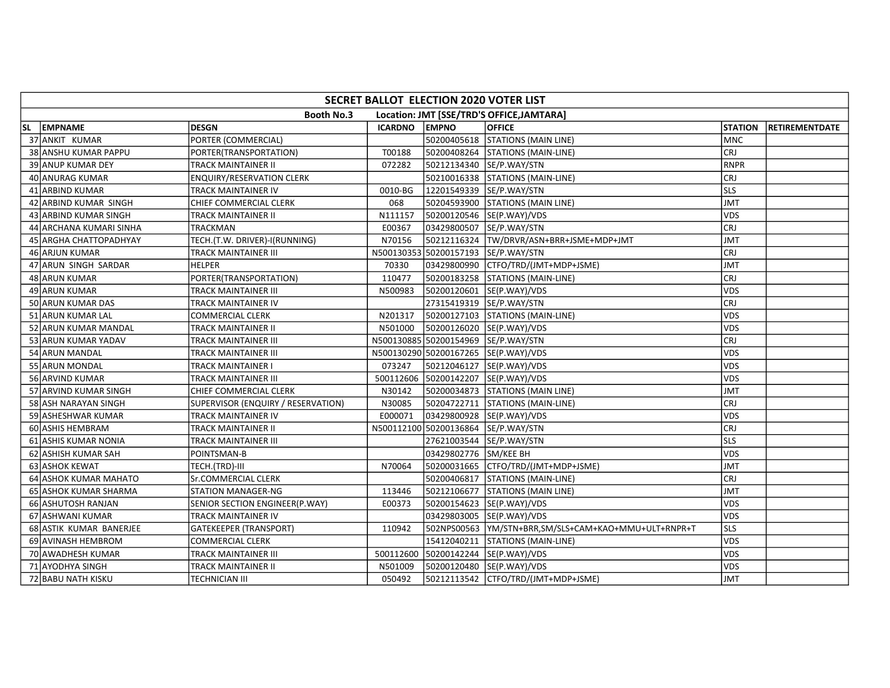|     | SECRET BALLOT ELECTION 2020 VOTER LIST |                                    |                |                                     |                                           |                |                |  |  |  |  |  |
|-----|----------------------------------------|------------------------------------|----------------|-------------------------------------|-------------------------------------------|----------------|----------------|--|--|--|--|--|
|     |                                        | Booth No.3                         |                |                                     | Location: JMT [SSE/TRD'S OFFICE, JAMTARA] |                |                |  |  |  |  |  |
| SL. | EMPNAME                                | <b>DESGN</b>                       | <b>ICARDNO</b> | <b>EMPNO</b>                        | <b>OFFICE</b>                             | <b>STATION</b> | RETIREMENTDATE |  |  |  |  |  |
|     | 37 ANKIT KUMAR                         | PORTER (COMMERCIAL)                |                |                                     | 50200405618 STATIONS (MAIN LINE)          | <b>MNC</b>     |                |  |  |  |  |  |
|     | 38 ANSHU KUMAR PAPPU                   | PORTER(TRANSPORTATION)             | T00188         |                                     | 50200408264 STATIONS (MAIN-LINE)          | <b>CRJ</b>     |                |  |  |  |  |  |
|     | 39 ANUP KUMAR DEY                      | TRACK MAINTAINER II                | 072282         |                                     | 50212134340 SE/P.WAY/STN                  | RNPR           |                |  |  |  |  |  |
|     | 40 ANURAG KUMAR                        | <b>ENQUIRY/RESERVATION CLERK</b>   |                |                                     | 50210016338 STATIONS (MAIN-LINE)          | <b>CRJ</b>     |                |  |  |  |  |  |
|     | 41 ARBIND KUMAR                        | TRACK MAINTAINER IV                | 0010-BG        |                                     | 12201549339 SE/P.WAY/STN                  | <b>SLS</b>     |                |  |  |  |  |  |
|     | 42 ARBIND KUMAR SINGH                  | CHIEF COMMERCIAL CLERK             | 068            |                                     | 50204593900 STATIONS (MAIN LINE)          | <b>JMT</b>     |                |  |  |  |  |  |
|     | 43 ARBIND KUMAR SINGH                  | TRACK MAINTAINER II                | N111157        |                                     | 50200120546 SE(P.WAY)/VDS                 | <b>VDS</b>     |                |  |  |  |  |  |
|     | 44 ARCHANA KUMARI SINHA                | <b>TRACKMAN</b>                    | E00367         |                                     | 03429800507 SE/P.WAY/STN                  | <b>CRJ</b>     |                |  |  |  |  |  |
|     | 45 JARGHA CHATTOPADHYAY                | TECH.(T.W. DRIVER)-I(RUNNING)      | N70156         |                                     | 50212116324  TW/DRVR/ASN+BRR+JSME+MDP+JMT | <b>JMT</b>     |                |  |  |  |  |  |
|     | 46 ARJUN KUMAR                         | <b>TRACK MAINTAINER III</b>        |                | N500130353 50200157193 SE/P.WAY/STN |                                           | CRJ            |                |  |  |  |  |  |
|     | 47 ARUN SINGH SARDAR                   | <b>HELPER</b>                      | 70330          |                                     | 03429800990 CTFO/TRD/(JMT+MDP+JSME)       | <b>JMT</b>     |                |  |  |  |  |  |
|     | 48 ARUN KUMAR                          | PORTER(TRANSPORTATION)             | 110477         |                                     | 50200183258 STATIONS (MAIN-LINE)          | CRJ            |                |  |  |  |  |  |
|     | 49 ARUN KUMAR                          | TRACK MAINTAINER III               | N500983        |                                     | 50200120601 SE(P.WAY)/VDS                 | <b>VDS</b>     |                |  |  |  |  |  |
|     | 50 ARUN KUMAR DAS                      | TRACK MAINTAINER IV                |                |                                     | 27315419319 SE/P.WAY/STN                  | <b>CRJ</b>     |                |  |  |  |  |  |
|     | 51 ARUN KUMAR LAL                      | COMMERCIAL CLERK                   | N201317        |                                     | 50200127103 STATIONS (MAIN-LINE)          | <b>VDS</b>     |                |  |  |  |  |  |
|     | 52 ARUN KUMAR MANDAL                   | TRACK MAINTAINER II                | N501000        |                                     | 50200126020 SE(P.WAY)/VDS                 | <b>VDS</b>     |                |  |  |  |  |  |
|     | 53 ARUN KUMAR YADAV                    | TRACK MAINTAINER III               |                |                                     | N500130885 50200154969 SE/P.WAY/STN       | CRJ            |                |  |  |  |  |  |
|     | 54 ARUN MANDAL                         | TRACK MAINTAINER III               |                |                                     | N500130290 50200167265 SE(P.WAY)/VDS      | <b>VDS</b>     |                |  |  |  |  |  |
|     | 55 ARUN MONDAL                         | TRACK MAINTAINER I                 | 073247         |                                     | 50212046127  SE(P.WAY)/VDS                | <b>VDS</b>     |                |  |  |  |  |  |
|     | 56 ARVIND KUMAR                        | TRACK MAINTAINER III               |                | 500112606 50200142207               | SE(P.WAY)/VDS                             | <b>VDS</b>     |                |  |  |  |  |  |
|     | 57 ARVIND KUMAR SINGH                  | CHIEF COMMERCIAL CLERK             | N30142         |                                     | 50200034873 STATIONS (MAIN LINE)          | JMT            |                |  |  |  |  |  |
|     | 58 ASH NARAYAN SINGH                   | SUPERVISOR (ENQUIRY / RESERVATION) | N30085         |                                     | 50204722711 STATIONS (MAIN-LINE)          | <b>CRJ</b>     |                |  |  |  |  |  |
|     | 59 ASHESHWAR KUMAR                     | TRACK MAINTAINER IV                | E000071        |                                     | 03429800928 SE(P.WAY)/VDS                 | <b>VDS</b>     |                |  |  |  |  |  |
|     | 60 ASHIS HEMBRAM                       | TRACK MAINTAINER II                |                |                                     | N500112100 50200136864 SE/P.WAY/STN       | CRJ            |                |  |  |  |  |  |
|     | 61 ASHIS KUMAR NONIA                   | TRACK MAINTAINER III               |                |                                     | 27621003544 SE/P.WAY/STN                  | lsls           |                |  |  |  |  |  |
|     | 62 ASHISH KUMAR SAH                    | POINTSMAN-B                        |                | 03429802776 SM/KEE BH               |                                           | <b>VDS</b>     |                |  |  |  |  |  |
|     | 63 ASHOK KEWAT                         | TECH.(TRD)-III                     | N70064         |                                     | 50200031665 CTFO/TRD/(JMT+MDP+JSME)       | JMT            |                |  |  |  |  |  |
|     | 64 ASHOK KUMAR MAHATO                  | Sr.COMMERCIAL CLERK                |                | 50200406817                         | STATIONS (MAIN-LINE)                      | CRJ            |                |  |  |  |  |  |
|     | 65 ASHOK KUMAR SHARMA                  | <b>STATION MANAGER-NG</b>          | 113446         | 50212106677                         | <b>STATIONS (MAIN LINE)</b>               | JMT            |                |  |  |  |  |  |
|     | 66 ASHUTOSH RANJAN                     | SENIOR SECTION ENGINEER(P.WAY)     | E00373         |                                     | 50200154623 SE(P.WAY)/VDS                 | <b>VDS</b>     |                |  |  |  |  |  |
|     | 67 ASHWANI KUMAR                       | <b>TRACK MAINTAINER IV</b>         |                |                                     | 03429803005 SE(P.WAY)/VDS                 | <b>VDS</b>     |                |  |  |  |  |  |
|     | 68 ASTIK KUMAR BANERJEE                | <b>GATEKEEPER (TRANSPORT)</b>      | 110942         |                                     |                                           | <b>SLS</b>     |                |  |  |  |  |  |
|     | 69 AVINASH HEMBROM                     | <b>COMMERCIAL CLERK</b>            |                | 15412040211                         | STATIONS (MAIN-LINE)                      | <b>VDS</b>     |                |  |  |  |  |  |
|     | 70 AWADHESH KUMAR                      | TRACK MAINTAINER III               |                |                                     | 500112600 50200142244 SE(P.WAY)/VDS       | <b>VDS</b>     |                |  |  |  |  |  |
|     | 71 AYODHYA SINGH                       | TRACK MAINTAINER II                | N501009        |                                     | 50200120480 SE(P.WAY)/VDS                 | <b>VDS</b>     |                |  |  |  |  |  |
|     | 72 BABU NATH KISKU                     | <b>TECHNICIAN III</b>              | 050492         |                                     | 50212113542   CTFO/TRD/(JMT+MDP+JSME)     | JMT            |                |  |  |  |  |  |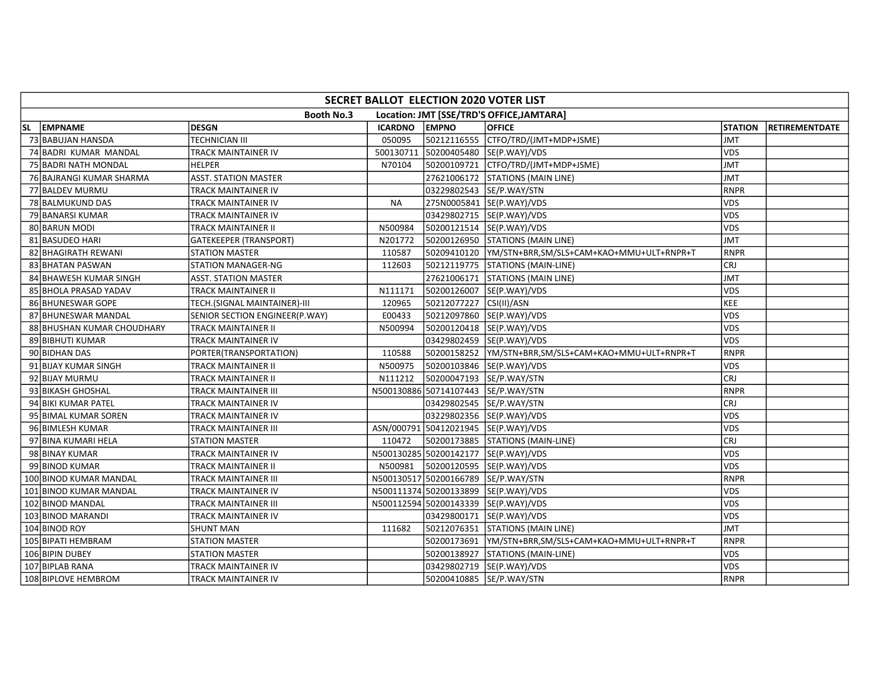|    | SECRET BALLOT ELECTION 2020 VOTER LIST |                                |                |              |                                                       |                |                       |  |  |  |  |  |
|----|----------------------------------------|--------------------------------|----------------|--------------|-------------------------------------------------------|----------------|-----------------------|--|--|--|--|--|
|    |                                        | <b>Booth No.3</b>              |                |              | Location: JMT [SSE/TRD'S OFFICE, JAMTARA]             |                |                       |  |  |  |  |  |
| SL | EMPNAME                                | <b>DESGN</b>                   | <b>ICARDNO</b> | <b>EMPNO</b> | <b>OFFICE</b>                                         | <b>STATION</b> | <b>RETIREMENTDATE</b> |  |  |  |  |  |
|    | 73 BABUJAN HANSDA                      | TECHNICIAN III                 | 050095         | 50212116555  | CTFO/TRD/(JMT+MDP+JSME)                               | <b>JMT</b>     |                       |  |  |  |  |  |
|    | 74 BADRI KUMAR MANDAL                  | TRACK MAINTAINER IV            | 500130711      |              | 50200405480 SE(P.WAY)/VDS                             | <b>VDS</b>     |                       |  |  |  |  |  |
|    | 75 BADRI NATH MONDAL                   | <b>HELPER</b>                  | N70104         |              | 50200109721 CTFO/TRD/(JMT+MDP+JSME)                   | <b>JMT</b>     |                       |  |  |  |  |  |
|    | 76 BAJRANGI KUMAR SHARMA               | <b>ASST. STATION MASTER</b>    |                |              | 27621006172 STATIONS (MAIN LINE)                      | <b>JMT</b>     |                       |  |  |  |  |  |
|    | 77 BALDEV MURMU                        | TRACK MAINTAINER IV            |                |              | 03229802543  SE/P.WAY/STN                             | <b>RNPR</b>    |                       |  |  |  |  |  |
|    | 78 BALMUKUND DAS                       | TRACK MAINTAINER IV            | <b>NA</b>      |              | 275N0005841  SE(P.WAY)/VDS                            | <b>VDS</b>     |                       |  |  |  |  |  |
|    | 79 BANARSI KUMAR                       | TRACK MAINTAINER IV            |                |              | 03429802715  SE(P.WAY)/VDS                            | <b>VDS</b>     |                       |  |  |  |  |  |
|    | 80 BARUN MODI                          | TRACK MAINTAINER II            | N500984        |              | 50200121514  SE(P.WAY)/VDS                            | <b>VDS</b>     |                       |  |  |  |  |  |
|    | 81 BASUDEO HARI                        | <b>GATEKEEPER (TRANSPORT)</b>  | N201772        |              | 50200126950 STATIONS (MAIN LINE)                      | <b>JMT</b>     |                       |  |  |  |  |  |
|    | 82 BHAGIRATH REWANI                    | <b>STATION MASTER</b>          | 110587         |              | 50209410120  YM/STN+BRR,SM/SLS+CAM+KAO+MMU+ULT+RNPR+T | RNPR           |                       |  |  |  |  |  |
|    | 83 BHATAN PASWAN                       | <b>STATION MANAGER-NG</b>      | 112603         |              | 50212119775 STATIONS (MAIN-LINE)                      | <b>CRJ</b>     |                       |  |  |  |  |  |
|    | 84 BHAWESH KUMAR SINGH                 | ASST. STATION MASTER           |                |              | 27621006171 STATIONS (MAIN LINE)                      | <b>JMT</b>     |                       |  |  |  |  |  |
|    | 85 BHOLA PRASAD YADAV                  | TRACK MAINTAINER II            | N111171        | 50200126007  | SE(P.WAY)/VDS                                         | <b>VDS</b>     |                       |  |  |  |  |  |
|    | 86 BHUNESWAR GOPE                      | TECH.(SIGNAL MAINTAINER)-III   | 120965         | 50212077227  | CSI(II)/ASN                                           | <b>KEE</b>     |                       |  |  |  |  |  |
|    | 87 BHUNESWAR MANDAL                    | SENIOR SECTION ENGINEER(P.WAY) | E00433         | 50212097860  | SE(P.WAY)/VDS                                         | <b>VDS</b>     |                       |  |  |  |  |  |
|    | 88 BHUSHAN KUMAR CHOUDHARY             | TRACK MAINTAINER II            | N500994        |              | 50200120418  SE(P.WAY)/VDS                            | <b>VDS</b>     |                       |  |  |  |  |  |
|    | 89 BIBHUTI KUMAR                       | TRACK MAINTAINER IV            |                |              | 03429802459  SE(P.WAY)/VDS                            | <b>VDS</b>     |                       |  |  |  |  |  |
|    | 90 BIDHAN DAS                          | PORTER(TRANSPORTATION)         | 110588         |              | 50200158252  YM/STN+BRR,SM/SLS+CAM+KAO+MMU+ULT+RNPR+T | <b>RNPR</b>    |                       |  |  |  |  |  |
|    | 91 BIJAY KUMAR SINGH                   | TRACK MAINTAINER II            | N500975        |              | 50200103846  SE(P.WAY)/VDS                            | <b>VDS</b>     |                       |  |  |  |  |  |
|    | 92 BIJAY MURMU                         | TRACK MAINTAINER II            | N111212        |              | 50200047193 SE/P.WAY/STN                              | <b>CRJ</b>     |                       |  |  |  |  |  |
|    | 93 BIKASH GHOSHAL                      | TRACK MAINTAINER III           |                |              | N500130886 50714107443 SE/P.WAY/STN                   | <b>RNPR</b>    |                       |  |  |  |  |  |
|    | 94 BIKI KUMAR PATEL                    | TRACK MAINTAINER IV            |                |              | 03429802545 SE/P.WAY/STN                              | <b>CRJ</b>     |                       |  |  |  |  |  |
|    | 95 BIMAL KUMAR SOREN                   | TRACK MAINTAINER IV            |                |              | 03229802356 SE(P.WAY)/VDS                             | <b>VDS</b>     |                       |  |  |  |  |  |
|    | 96 BIMLESH KUMAR                       | TRACK MAINTAINER III           |                |              | ASN/000791 50412021945 SE(P.WAY)/VDS                  | <b>VDS</b>     |                       |  |  |  |  |  |
|    | 97 BINA KUMARI HELA                    | STATION MASTER                 | 110472         |              | 50200173885   STATIONS (MAIN-LINE)                    | <b>CRJ</b>     |                       |  |  |  |  |  |
|    | 98 BINAY KUMAR                         | TRACK MAINTAINER IV            |                |              | N500130285 50200142177 SE(P.WAY)/VDS                  | <b>VDS</b>     |                       |  |  |  |  |  |
|    | 99 BINOD KUMAR                         | TRACK MAINTAINER II            | N500981        |              | 50200120595 SE(P.WAY)/VDS                             | <b>VDS</b>     |                       |  |  |  |  |  |
|    | 100 BINOD KUMAR MANDAL                 | TRACK MAINTAINER III           |                |              | N500130517 50200166789 SE/P.WAY/STN                   | <b>RNPR</b>    |                       |  |  |  |  |  |
|    | 101 BINOD KUMAR MANDAL                 | TRACK MAINTAINER IV            |                |              | N500111374 50200133899 SE(P.WAY)/VDS                  | <b>VDS</b>     |                       |  |  |  |  |  |
|    | 102 BINOD MANDAL                       | TRACK MAINTAINER III           |                |              | N500112594 50200143339 SE(P.WAY)/VDS                  | VDS            |                       |  |  |  |  |  |
|    | 103 BINOD MARANDI                      | TRACK MAINTAINER IV            |                |              | 03429800171  SE(P.WAY)/VDS                            | <b>VDS</b>     |                       |  |  |  |  |  |
|    | 104 BINOD ROY                          | <b>SHUNT MAN</b>               | 111682         |              | 50212076351 STATIONS (MAIN LINE)                      | JMT            |                       |  |  |  |  |  |
|    | 105 BIPATI HEMBRAM                     | <b>STATION MASTER</b>          |                | 50200173691  | YM/STN+BRR,SM/SLS+CAM+KAO+MMU+ULT+RNPR+T              | <b>RNPR</b>    |                       |  |  |  |  |  |
|    | 106 BIPIN DUBEY                        | STATION MASTER                 |                | 50200138927  | STATIONS (MAIN-LINE)                                  | <b>VDS</b>     |                       |  |  |  |  |  |
|    | 107 BIPLAB RANA                        | TRACK MAINTAINER IV            |                |              | 03429802719  SE(P.WAY)/VDS                            | <b>VDS</b>     |                       |  |  |  |  |  |
|    | 108 BIPLOVE HEMBROM                    | TRACK MAINTAINER IV            |                |              | 50200410885 SE/P.WAY/STN                              | <b>RNPR</b>    |                       |  |  |  |  |  |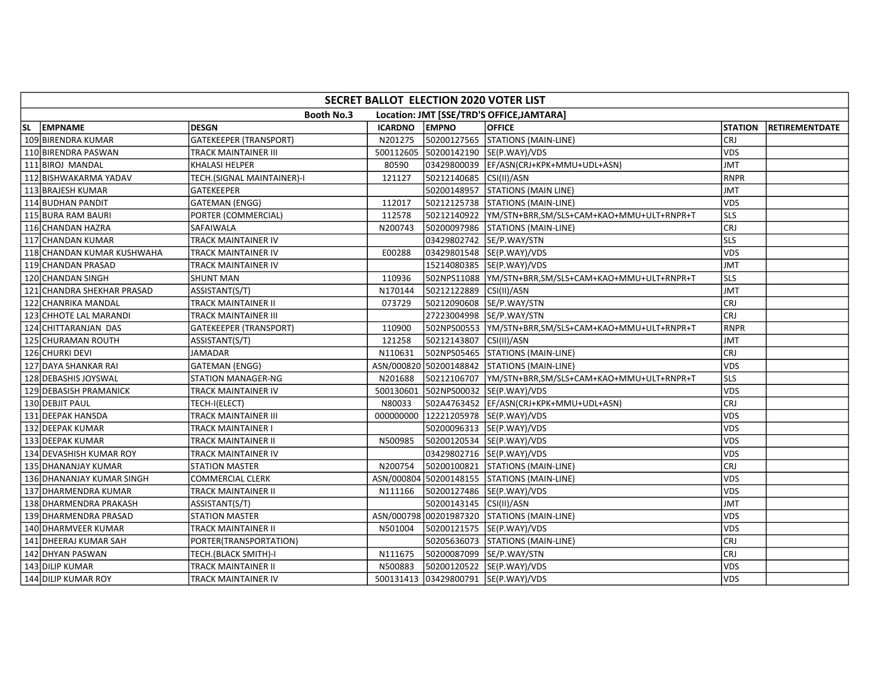| SECRET BALLOT ELECTION 2020 VOTER LIST |                               |                |                           |                                                       |                |                       |  |  |  |  |  |
|----------------------------------------|-------------------------------|----------------|---------------------------|-------------------------------------------------------|----------------|-----------------------|--|--|--|--|--|
|                                        | <b>Booth No.3</b>             |                |                           | Location: JMT [SSE/TRD'S OFFICE, JAMTARA]             |                |                       |  |  |  |  |  |
| SL EMPNAME                             | <b>DESGN</b>                  | <b>ICARDNO</b> | <b>EMPNO</b>              | <b>OFFICE</b>                                         | <b>STATION</b> | <b>RETIREMENTDATE</b> |  |  |  |  |  |
| 109 BIRENDRA KUMAR                     | <b>GATEKEEPER (TRANSPORT)</b> | N201275        |                           | 50200127565 STATIONS (MAIN-LINE)                      | <b>CRJ</b>     |                       |  |  |  |  |  |
| 110 BIRENDRA PASWAN                    | <b>TRACK MAINTAINER III</b>   |                |                           | 500112605 50200142190 SE(P.WAY)/VDS                   | <b>VDS</b>     |                       |  |  |  |  |  |
| 111 BIROJ MANDAL                       | <b>KHALASI HELPER</b>         | 80590          |                           | 03429800039  EF/ASN(CRJ+KPK+MMU+UDL+ASN)              | <b>JMT</b>     |                       |  |  |  |  |  |
| 112 BISHWAKARMA YADAV                  | TECH.(SIGNAL MAINTAINER)-I    | 121127         | 50212140685 CSI(II)/ASN   |                                                       | <b>RNPR</b>    |                       |  |  |  |  |  |
| 113 BRAJESH KUMAR                      | GATEKEEPER                    |                |                           | 50200148957 STATIONS (MAIN LINE)                      | JMT            |                       |  |  |  |  |  |
| 114 BUDHAN PANDIT                      | <b>GATEMAN (ENGG)</b>         | 112017         |                           | 50212125738 STATIONS (MAIN-LINE)                      | <b>VDS</b>     |                       |  |  |  |  |  |
| 115 BURA RAM BAURI                     | PORTER (COMMERCIAL)           | 112578         |                           | 50212140922  YM/STN+BRR,SM/SLS+CAM+KAO+MMU+ULT+RNPR+T | lsls           |                       |  |  |  |  |  |
| 116 CHANDAN HAZRA                      | <b>SAFAIWALA</b>              | N200743        |                           | 50200097986 STATIONS (MAIN-LINE)                      | <b>CRJ</b>     |                       |  |  |  |  |  |
| 117 CHANDAN KUMAR                      | <b>TRACK MAINTAINER IV</b>    |                | 03429802742 SE/P.WAY/STN  |                                                       | lsls           |                       |  |  |  |  |  |
| 118 CHANDAN KUMAR KUSHWAHA             | <b>TRACK MAINTAINER IV</b>    | E00288         |                           | 03429801548 SE(P.WAY)/VDS                             | <b>VDS</b>     |                       |  |  |  |  |  |
| 119 CHANDAN PRASAD                     | <b>TRACK MAINTAINER IV</b>    |                |                           | 15214080385 SE(P.WAY)/VDS                             | <b>JMT</b>     |                       |  |  |  |  |  |
| 120 CHANDAN SINGH                      | <b>SHUNT MAN</b>              | 110936         |                           |                                                       | lsls           |                       |  |  |  |  |  |
| 121 CHANDRA SHEKHAR PRASAD             | ASSISTANT(S/T)                | N170144        | 50212122889 CSI(II)/ASN   |                                                       | <b>JMT</b>     |                       |  |  |  |  |  |
| 122 CHANRIKA MANDAL                    | <b>TRACK MAINTAINER II</b>    | 073729         | 50212090608  SE/P.WAY/STN |                                                       | <b>CRJ</b>     |                       |  |  |  |  |  |
| 123 CHHOTE LAL MARANDI                 | <b>TRACK MAINTAINER III</b>   |                | 27223004998 SE/P.WAY/STN  |                                                       | CRJ            |                       |  |  |  |  |  |
| 124 CHITTARANJAN DAS                   | <b>GATEKEEPER (TRANSPORT)</b> | 110900         |                           |                                                       | <b>RNPR</b>    |                       |  |  |  |  |  |
| 125 CHURAMAN ROUTH                     | ASSISTANT(S/T)                | 121258         | 50212143807 CSI(II)/ASN   |                                                       | <b>JMT</b>     |                       |  |  |  |  |  |
| 126 CHURKI DEVI                        | JAMADAR                       | N110631        |                           | 502NPS05465 STATIONS (MAIN-LINE)                      | lcrj           |                       |  |  |  |  |  |
| 127 DAYA SHANKAR RAI                   | <b>GATEMAN (ENGG)</b>         |                |                           | ASN/000820 50200148842 STATIONS (MAIN-LINE)           | <b>VDS</b>     |                       |  |  |  |  |  |
| 128 DEBASHIS JOYSWAL                   | <b>STATION MANAGER-NG</b>     | N201688        | 50212106707               | YM/STN+BRR,SM/SLS+CAM+KAO+MMU+ULT+RNPR+T              | <b>SLS</b>     |                       |  |  |  |  |  |
| 129 DEBASISH PRAMANICK                 | <b>TRACK MAINTAINER IV</b>    | 500130601      |                           | 502NPS00032 SE(P.WAY)/VDS                             | VDS            |                       |  |  |  |  |  |
| 130 DEBJIT PAUL                        | TECH-I(ELECT)                 | N80033         |                           | 502A4763452 EF/ASN(CRJ+KPK+MMU+UDL+ASN)               | CRJ            |                       |  |  |  |  |  |
| 131 DEEPAK HANSDA                      | <b>TRACK MAINTAINER III</b>   | 000000000      |                           | 12221205978  SE(P.WAY)/VDS                            | <b>VDS</b>     |                       |  |  |  |  |  |
| 132 DEEPAK KUMAR                       | TRACK MAINTAINER I            |                |                           | 50200096313 SE(P.WAY)/VDS                             | VDS            |                       |  |  |  |  |  |
| 133 DEEPAK KUMAR                       | <b>TRACK MAINTAINER II</b>    | N500985        |                           | 50200120534 SE(P.WAY)/VDS                             | <b>VDS</b>     |                       |  |  |  |  |  |
| 134 DEVASHISH KUMAR ROY                | TRACK MAINTAINER IV           |                |                           | 03429802716 SE(P.WAY)/VDS                             | VDS            |                       |  |  |  |  |  |
| 135 DHANANJAY KUMAR                    | <b>STATION MASTER</b>         | N200754        |                           | 50200100821 STATIONS (MAIN-LINE)                      | lcrj           |                       |  |  |  |  |  |
| 136 DHANANJAY KUMAR SINGH              | <b>COMMERCIAL CLERK</b>       |                |                           | ASN/000804 50200148155 STATIONS (MAIN-LINE)           | <b>VDS</b>     |                       |  |  |  |  |  |
| 137 DHARMENDRA KUMAR                   | <b>TRACK MAINTAINER II</b>    | N111166        |                           | 50200127486 SE(P.WAY)/VDS                             | <b>VDS</b>     |                       |  |  |  |  |  |
| 138 DHARMENDRA PRAKASH                 | ASSISTANT(S/T)                |                | 50200143145 CSI(II)/ASN   |                                                       | <b>JMT</b>     |                       |  |  |  |  |  |
| 139 DHARMENDRA PRASAD                  | <b>STATION MASTER</b>         |                |                           | ASN/000798 00201987320 STATIONS (MAIN-LINE)           | <b>VDS</b>     |                       |  |  |  |  |  |
| 140 DHARMVEER KUMAR                    | <b>TRACK MAINTAINER II</b>    | N501004        |                           | 50200121575 SE(P.WAY)/VDS                             | <b>VDS</b>     |                       |  |  |  |  |  |
| 141 DHEERAJ KUMAR SAH                  | PORTER(TRANSPORTATION)        |                |                           | 50205636073  STATIONS (MAIN-LINE)                     | <b>CRJ</b>     |                       |  |  |  |  |  |
| 142 DHYAN PASWAN                       | TECH.(BLACK SMITH)-I          | N111675        | 50200087099 SE/P.WAY/STN  |                                                       | <b>CRJ</b>     |                       |  |  |  |  |  |
| 143 DILIP KUMAR                        | <b>TRACK MAINTAINER II</b>    | N500883        |                           | 50200120522 SE(P.WAY)/VDS                             | <b>VDS</b>     |                       |  |  |  |  |  |
| 144 DILIP KUMAR ROY                    | <b>TRACK MAINTAINER IV</b>    |                |                           | 500131413 03429800791 SE(P.WAY)/VDS                   | <b>VDS</b>     |                       |  |  |  |  |  |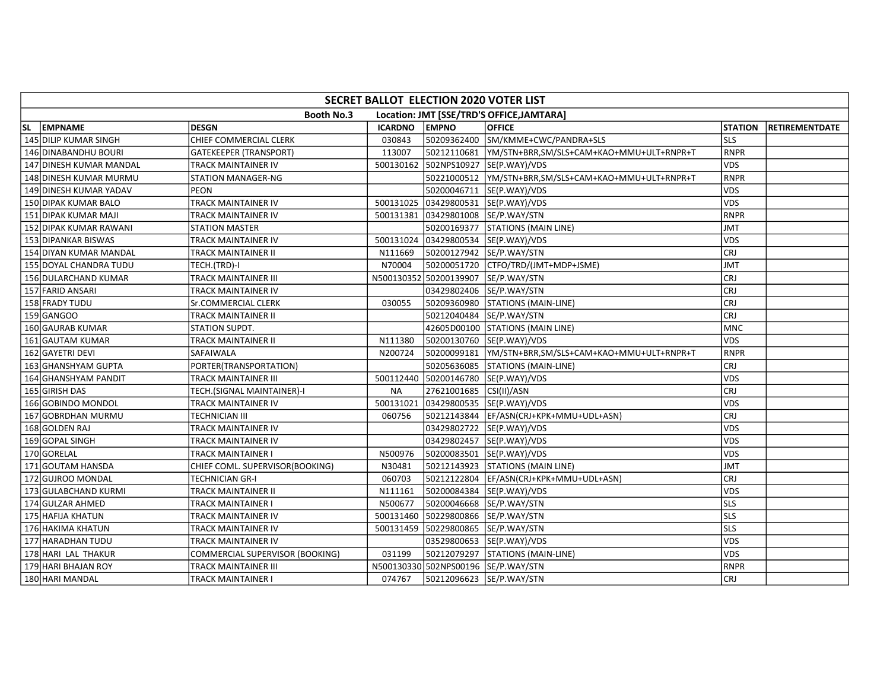| SECRET BALLOT ELECTION 2020 VOTER LIST                         |                                 |                |                                     |                                                       |                |                       |  |  |  |  |  |
|----------------------------------------------------------------|---------------------------------|----------------|-------------------------------------|-------------------------------------------------------|----------------|-----------------------|--|--|--|--|--|
| <b>Booth No.3</b><br>Location: JMT [SSE/TRD'S OFFICE, JAMTARA] |                                 |                |                                     |                                                       |                |                       |  |  |  |  |  |
| SL EMPNAME                                                     | <b>DESGN</b>                    | <b>ICARDNO</b> | <b>EMPNO</b>                        | <b>OFFICE</b>                                         | <b>STATION</b> | <b>RETIREMENTDATE</b> |  |  |  |  |  |
| 145 DILIP KUMAR SINGH                                          | CHIEF COMMERCIAL CLERK          | 030843         |                                     | 50209362400 SM/KMME+CWC/PANDRA+SLS                    | <b>SLS</b>     |                       |  |  |  |  |  |
| 146 DINABANDHU BOURI                                           | <b>GATEKEEPER (TRANSPORT)</b>   | 113007         |                                     | 50212110681  YM/STN+BRR,SM/SLS+CAM+KAO+MMU+ULT+RNPR+T | <b>RNPR</b>    |                       |  |  |  |  |  |
| 147 DINESH KUMAR MANDAL                                        | <b>TRACK MAINTAINER IV</b>      |                |                                     | 500130162 502NPS10927 SE(P.WAY)/VDS                   | <b>VDS</b>     |                       |  |  |  |  |  |
| 148 DINESH KUMAR MURMU                                         | STATION MANAGER-NG              |                |                                     |                                                       | RNPR           |                       |  |  |  |  |  |
| 149 DINESH KUMAR YADAV                                         | <b>PEON</b>                     |                |                                     | 50200046711 SE(P.WAY)/VDS                             | <b>VDS</b>     |                       |  |  |  |  |  |
| 150 DIPAK KUMAR BALO                                           | <b>TRACK MAINTAINER IV</b>      |                |                                     | 500131025 03429800531 SE(P.WAY)/VDS                   | <b>VDS</b>     |                       |  |  |  |  |  |
| 151 DIPAK KUMAR MAJI                                           | <b>TRACK MAINTAINER IV</b>      |                | 500131381 03429801008 SE/P.WAY/STN  |                                                       | <b>RNPR</b>    |                       |  |  |  |  |  |
| 152 DIPAK KUMAR RAWANI                                         | <b>STATION MASTER</b>           |                |                                     | 50200169377 STATIONS (MAIN LINE)                      | <b>JMT</b>     |                       |  |  |  |  |  |
| 153 DIPANKAR BISWAS                                            | <b>TRACK MAINTAINER IV</b>      |                |                                     | 500131024 03429800534 SE(P.WAY)/VDS                   | <b>VDS</b>     |                       |  |  |  |  |  |
| 154 DIYAN KUMAR MANDAL                                         | <b>TRACK MAINTAINER II</b>      | N111669        | 50200127942 SE/P.WAY/STN            |                                                       | CRJ            |                       |  |  |  |  |  |
| 155 DOYAL CHANDRA TUDU                                         | TECH.(TRD)-I                    | N70004         |                                     | 50200051720 CTFO/TRD/(JMT+MDP+JSME)                   | <b>JMT</b>     |                       |  |  |  |  |  |
| 156 DULARCHAND KUMAR                                           | <b>TRACK MAINTAINER III</b>     |                | N500130352 50200139907 SE/P.WAY/STN |                                                       | CRJ            |                       |  |  |  |  |  |
| 157 FARID ANSARI                                               | TRACK MAINTAINER IV             |                | 03429802406                         | SE/P.WAY/STN                                          | <b>CRJ</b>     |                       |  |  |  |  |  |
| 158 FRADY TUDU                                                 | Sr.COMMERCIAL CLERK             | 030055         | 50209360980                         | STATIONS (MAIN-LINE)                                  | <b>CRJ</b>     |                       |  |  |  |  |  |
| 159 GANGOO                                                     | <b>TRACK MAINTAINER II</b>      |                | 50212040484 SE/P.WAY/STN            |                                                       | <b>CRJ</b>     |                       |  |  |  |  |  |
| 160 GAURAB KUMAR                                               | STATION SUPDT.                  |                |                                     | 42605D00100 STATIONS (MAIN LINE)                      | <b>MNC</b>     |                       |  |  |  |  |  |
| 161 GAUTAM KUMAR                                               | <b>TRACK MAINTAINER II</b>      | N111380        |                                     | 50200130760 SE(P.WAY)/VDS                             | <b>VDS</b>     |                       |  |  |  |  |  |
| 162 GAYETRI DEVI                                               | SAFAIWALA                       | N200724        |                                     | 50200099181  YM/STN+BRR,SM/SLS+CAM+KAO+MMU+ULT+RNPR+T | <b>RNPR</b>    |                       |  |  |  |  |  |
| 163 GHANSHYAM GUPTA                                            | PORTER(TRANSPORTATION)          |                |                                     | 50205636085 STATIONS (MAIN-LINE)                      | CRJ            |                       |  |  |  |  |  |
| 164 GHANSHYAM PANDIT                                           | <b>TRACK MAINTAINER III</b>     | 500112440      |                                     | 50200146780 SE(P.WAY)/VDS                             | <b>VDS</b>     |                       |  |  |  |  |  |
| 165 GIRISH DAS                                                 | TECH.(SIGNAL MAINTAINER)-I      | <b>NA</b>      | 27621001685 CSI(II)/ASN             |                                                       | CRJ            |                       |  |  |  |  |  |
| 166 GOBINDO MONDOL                                             | <b>TRACK MAINTAINER IV</b>      | 500131021      |                                     | 03429800535 SE(P.WAY)/VDS                             | <b>VDS</b>     |                       |  |  |  |  |  |
| 167 GOBRDHAN MURMU                                             | <b>TECHNICIAN III</b>           | 060756         |                                     | 50212143844   EF/ASN(CRJ+KPK+MMU+UDL+ASN)             | <b>CRJ</b>     |                       |  |  |  |  |  |
| 168 GOLDEN RAJ                                                 | <b>TRACK MAINTAINER IV</b>      |                |                                     | 03429802722  SE(P.WAY)/VDS                            | <b>VDS</b>     |                       |  |  |  |  |  |
| 169 GOPAL SINGH                                                | <b>TRACK MAINTAINER IV</b>      |                |                                     | 03429802457 SE(P.WAY)/VDS                             | <b>VDS</b>     |                       |  |  |  |  |  |
| 170 GORELAL                                                    | <b>TRACK MAINTAINER I</b>       | N500976        |                                     | 50200083501 SE(P.WAY)/VDS                             | <b>VDS</b>     |                       |  |  |  |  |  |
| 171 GOUTAM HANSDA                                              | CHIEF COML. SUPERVISOR(BOOKING) | N30481         |                                     | 50212143923 STATIONS (MAIN LINE)                      | <b>JMT</b>     |                       |  |  |  |  |  |
| 172 GUJROO MONDAL                                              | <b>TECHNICIAN GR-I</b>          | 060703         |                                     | 50212122804   EF/ASN(CRJ+KPK+MMU+UDL+ASN)             | CRJ            |                       |  |  |  |  |  |
| 173 GULABCHAND KURMI                                           | <b>TRACK MAINTAINER II</b>      | N111161        |                                     | 50200084384 SE(P.WAY)/VDS                             | <b>VDS</b>     |                       |  |  |  |  |  |
| 174 GULZAR AHMED                                               | <b>TRACK MAINTAINER I</b>       | N500677        | 50200046668  SE/P.WAY/STN           |                                                       | lsls           |                       |  |  |  |  |  |
| 175 HAFIJA KHATUN                                              | <b>TRACK MAINTAINER IV</b>      | 500131460      | 50229800866 SE/P.WAY/STN            |                                                       | lsls           |                       |  |  |  |  |  |
| 176 HAKIMA KHATUN                                              | <b>TRACK MAINTAINER IV</b>      | 500131459      | 50229800865 SE/P.WAY/STN            |                                                       | <b>SLS</b>     |                       |  |  |  |  |  |
| 177 HARADHAN TUDU                                              | TRACK MAINTAINER IV             |                |                                     | 03529800653 SE(P.WAY)/VDS                             | VDS            |                       |  |  |  |  |  |
| 178 HARI LAL THAKUR                                            | COMMERCIAL SUPERVISOR (BOOKING) | 031199         | 50212079297                         | STATIONS (MAIN-LINE)                                  | <b>VDS</b>     |                       |  |  |  |  |  |
| 179 HARI BHAJAN ROY                                            | <b>TRACK MAINTAINER III</b>     |                | N500130330 502NPS00196 SE/P.WAY/STN |                                                       | RNPR           |                       |  |  |  |  |  |
| 180 HARI MANDAL                                                | <b>TRACK MAINTAINER I</b>       | 074767         | 50212096623  SE/P.WAY/STN           |                                                       | <b>CRJ</b>     |                       |  |  |  |  |  |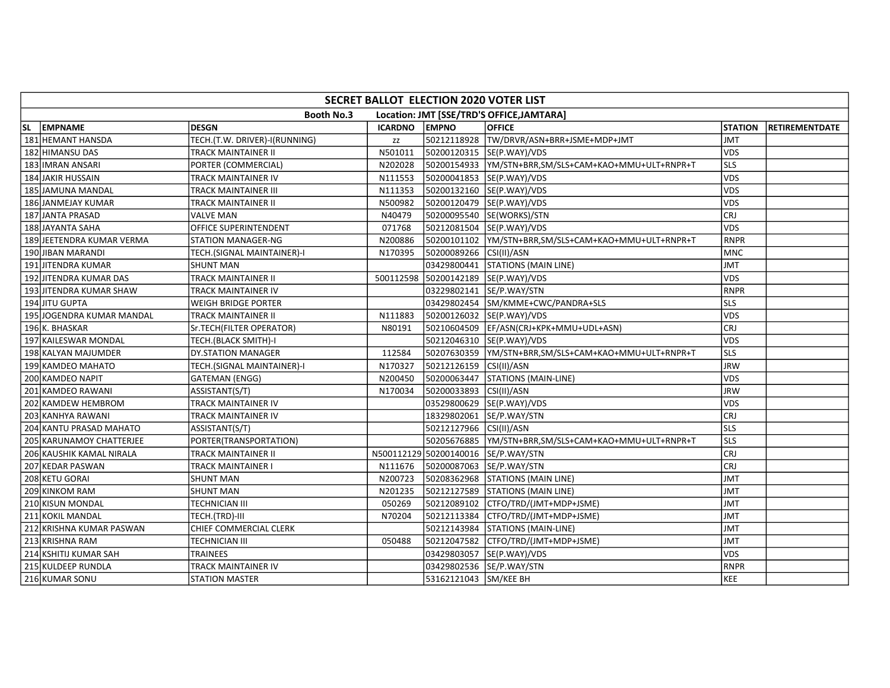| SECRET BALLOT ELECTION 2020 VOTER LIST                         |                               |                |                         |                                                         |                |                       |  |  |  |  |
|----------------------------------------------------------------|-------------------------------|----------------|-------------------------|---------------------------------------------------------|----------------|-----------------------|--|--|--|--|
| <b>Booth No.3</b><br>Location: JMT [SSE/TRD'S OFFICE, JAMTARA] |                               |                |                         |                                                         |                |                       |  |  |  |  |
| SL EMPNAME                                                     | <b>DESGN</b>                  | <b>ICARDNO</b> | <b>EMPNO</b>            | <b>OFFICE</b>                                           | <b>STATION</b> | <b>RETIREMENTDATE</b> |  |  |  |  |
| 181 HEMANT HANSDA                                              | TECH.(T.W. DRIVER)-I(RUNNING) | zz             |                         | 50212118928 TW/DRVR/ASN+BRR+JSME+MDP+JMT                | <b>JMT</b>     |                       |  |  |  |  |
| 182 HIMANSU DAS                                                | <b>TRACK MAINTAINER II</b>    | N501011        |                         | 50200120315 SE(P.WAY)/VDS                               | <b>VDS</b>     |                       |  |  |  |  |
| 183 IMRAN ANSARI                                               | PORTER (COMMERCIAL)           | N202028        |                         |                                                         | lsls           |                       |  |  |  |  |
| 184 JAKIR HUSSAIN                                              | TRACK MAINTAINER IV           | N111553        |                         | 50200041853 SE(P.WAY)/VDS                               | <b>VDS</b>     |                       |  |  |  |  |
| 185 JAMUNA MANDAL                                              | TRACK MAINTAINER III          | N111353        |                         | 50200132160  SE(P.WAY)/VDS                              | <b>VDS</b>     |                       |  |  |  |  |
| 186 JANMEJAY KUMAR                                             | <b>TRACK MAINTAINER II</b>    | N500982        |                         | 50200120479  SE(P.WAY)/VDS                              | <b>VDS</b>     |                       |  |  |  |  |
| 187 JANTA PRASAD                                               | <b>VALVE MAN</b>              | N40479         |                         | 50200095540 SE(WORKS)/STN                               | CRJ            |                       |  |  |  |  |
| 188 JAYANTA SAHA                                               | <b>OFFICE SUPERINTENDENT</b>  | 071768         |                         | 50212081504 SE(P.WAY)/VDS                               | lvds           |                       |  |  |  |  |
| 189 JEETENDRA KUMAR VERMA                                      | <b>STATION MANAGER-NG</b>     | N200886        |                         | 50200101102   YM/STN+BRR, SM/SLS+CAM+KAO+MMU+ULT+RNPR+T | <b>RNPR</b>    |                       |  |  |  |  |
| 190JJIBAN MARANDI                                              | TECH.(SIGNAL MAINTAINER)-I    | N170395        | 50200089266 CSI(II)/ASN |                                                         | MNC            |                       |  |  |  |  |
| 191 JITENDRA KUMAR                                             | <b>SHUNT MAN</b>              |                |                         | 03429800441 STATIONS (MAIN LINE)                        | JMT            |                       |  |  |  |  |
| 192 JITENDRA KUMAR DAS                                         | <b>TRACK MAINTAINER II</b>    |                |                         | 500112598 50200142189 SE(P.WAY)/VDS                     | <b>VDS</b>     |                       |  |  |  |  |
| 193 JITENDRA KUMAR SHAW                                        | TRACK MAINTAINER IV           |                |                         | 03229802141  SE/P.WAY/STN                               | <b>RNPR</b>    |                       |  |  |  |  |
| 194 JITU GUPTA                                                 | <b>WEIGH BRIDGE PORTER</b>    |                |                         | 03429802454 SM/KMME+CWC/PANDRA+SLS                      | <b>SLS</b>     |                       |  |  |  |  |
| 195 JOGENDRA KUMAR MANDAL                                      | <b>TRACK MAINTAINER II</b>    | N111883        |                         | 50200126032 SE(P.WAY)/VDS                               | <b>VDS</b>     |                       |  |  |  |  |
| 196 K. BHASKAR                                                 | Sr.TECH(FILTER OPERATOR)      | N80191         |                         | 50210604509 EF/ASN(CRJ+KPK+MMU+UDL+ASN)                 | <b>CRJ</b>     |                       |  |  |  |  |
| 197 KAILESWAR MONDAL                                           | TECH.(BLACK SMITH)-I          |                |                         | 50212046310 SE(P.WAY)/VDS                               | <b>VDS</b>     |                       |  |  |  |  |
| 198 KALYAN MAJUMDER                                            | DY.STATION MANAGER            | 112584         |                         |                                                         | <b>SLS</b>     |                       |  |  |  |  |
| 199 KAMDEO MAHATO                                              | TECH.(SIGNAL MAINTAINER)-I    | N170327        | 50212126159 CSI(II)/ASN |                                                         | <b>JRW</b>     |                       |  |  |  |  |
| 200 KAMDEO NAPIT                                               | <b>GATEMAN (ENGG)</b>         | N200450        | 50200063447             | STATIONS (MAIN-LINE)                                    | <b>VDS</b>     |                       |  |  |  |  |
| 201 KAMDEO RAWANI                                              | ASSISTANT(S/T)                | N170034        | 50200033893 CSI(II)/ASN |                                                         | <b>JRW</b>     |                       |  |  |  |  |
| 202 KAMDEW HEMBROM                                             | <b>TRACK MAINTAINER IV</b>    |                |                         | 03529800629 SE(P.WAY)/VDS                               | <b>VDS</b>     |                       |  |  |  |  |
| 203 KANHYA RAWANI                                              | TRACK MAINTAINER IV           |                |                         | 18329802061  SE/P.WAY/STN                               | <b>CRJ</b>     |                       |  |  |  |  |
| 204 KANTU PRASAD MAHATO                                        | ASSISTANT(S/T)                |                | 50212127966 CSI(II)/ASN |                                                         | lsls           |                       |  |  |  |  |
| 205 KARUNAMOY CHATTERJEE                                       | PORTER(TRANSPORTATION)        |                |                         |                                                         | <b>SLS</b>     |                       |  |  |  |  |
| 206 KAUSHIK KAMAL NIRALA                                       | <b>TRACK MAINTAINER II</b>    |                |                         | N500112129 50200140016 SE/P.WAY/STN                     | CRJ            |                       |  |  |  |  |
| 207 KEDAR PASWAN                                               | <b>TRACK MAINTAINER I</b>     | N111676        |                         | 50200087063 SE/P.WAY/STN                                | lcrj           |                       |  |  |  |  |
| 208 KETU GORAI                                                 | <b>SHUNT MAN</b>              | N200723        |                         | 50208362968 STATIONS (MAIN LINE)                        | <b>JMT</b>     |                       |  |  |  |  |
| 209 KINKOM RAM                                                 | <b>SHUNT MAN</b>              | N201235        |                         | 50212127589 STATIONS (MAIN LINE)                        | <b>JMT</b>     |                       |  |  |  |  |
| 210 KISUN MONDAL                                               | <b>TECHNICIAN III</b>         | 050269         |                         | 50212089102 CTFO/TRD/(JMT+MDP+JSME)                     | <b>JMT</b>     |                       |  |  |  |  |
| 211 KOKIL MANDAL                                               | TECH.(TRD)-III                | N70204         |                         | 50212113384 CTFO/TRD/(JMT+MDP+JSME)                     | JMT            |                       |  |  |  |  |
| 212 KRISHNA KUMAR PASWAN                                       | CHIEF COMMERCIAL CLERK        |                |                         | 50212143984 STATIONS (MAIN-LINE)                        | JMT            |                       |  |  |  |  |
| 213 KRISHNA RAM                                                | <b>TECHNICIAN III</b>         | 050488         | 50212047582             | CTFO/TRD/(JMT+MDP+JSME)                                 | JMT            |                       |  |  |  |  |
| 214 KSHITIJ KUMAR SAH                                          | <b>TRAINEES</b>               |                | 03429803057             | SE(P.WAY)/VDS                                           | <b>VDS</b>     |                       |  |  |  |  |
| 215 KULDEEP RUNDLA                                             | <b>TRACK MAINTAINER IV</b>    |                |                         | 03429802536 SE/P.WAY/STN                                | RNPR           |                       |  |  |  |  |
| 216 KUMAR SONU                                                 | <b>STATION MASTER</b>         |                | 53162121043 SM/KEE BH   |                                                         | KEE            |                       |  |  |  |  |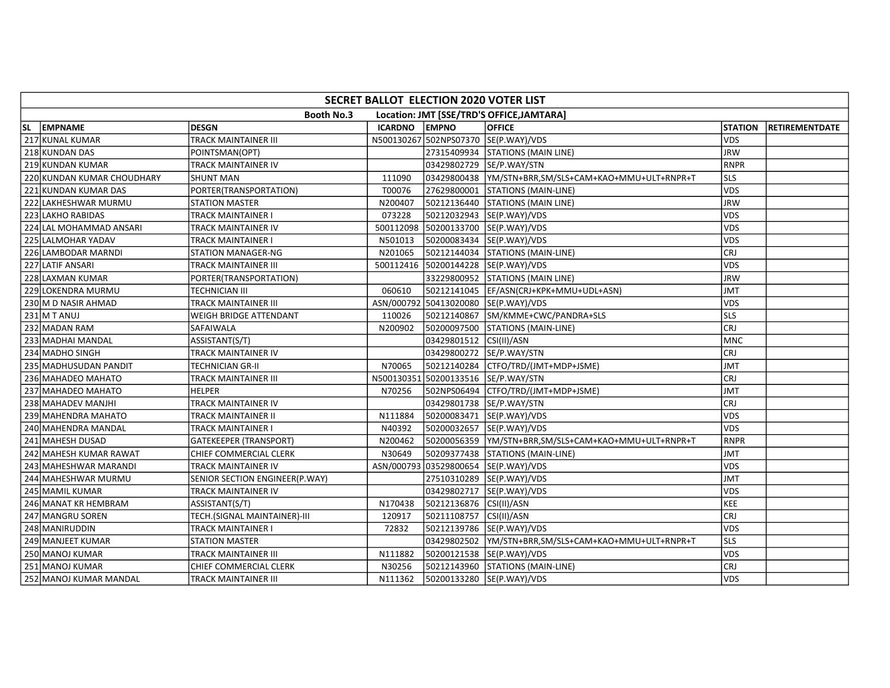|     | SECRET BALLOT ELECTION 2020 VOTER LIST |                                |                |                         |                                                       |                |                       |  |  |  |  |
|-----|----------------------------------------|--------------------------------|----------------|-------------------------|-------------------------------------------------------|----------------|-----------------------|--|--|--|--|
|     |                                        | <b>Booth No.3</b>              |                |                         | Location: JMT [SSE/TRD'S OFFICE, JAMTARA]             |                |                       |  |  |  |  |
| SL. | EMPNAME                                | <b>DESGN</b>                   | <b>ICARDNO</b> | <b>EMPNO</b>            | <b>OFFICE</b>                                         | <b>STATION</b> | <b>RETIREMENTDATE</b> |  |  |  |  |
|     | 217 KUNAL KUMAR                        | <b>TRACK MAINTAINER III</b>    |                |                         | N500130267 502NPS07370 SE(P.WAY)/VDS                  | <b>VDS</b>     |                       |  |  |  |  |
|     | 218 KUNDAN DAS                         | POINTSMAN(OPT)                 |                |                         | 27315409934 STATIONS (MAIN LINE)                      | <b>JRW</b>     |                       |  |  |  |  |
|     | 219 KUNDAN KUMAR                       | <b>TRACK MAINTAINER IV</b>     |                |                         | 03429802729 SE/P.WAY/STN                              | RNPR           |                       |  |  |  |  |
|     | 220 KUNDAN KUMAR CHOUDHARY             | <b>SHUNT MAN</b>               | 111090         |                         |                                                       | <b>SLS</b>     |                       |  |  |  |  |
|     | 221 KUNDAN KUMAR DAS                   | PORTER(TRANSPORTATION)         | T00076         | 27629800001             | STATIONS (MAIN-LINE)                                  | <b>VDS</b>     |                       |  |  |  |  |
|     | 222 LAKHESHWAR MURMU                   | <b>STATION MASTER</b>          | N200407        |                         | 50212136440 STATIONS (MAIN LINE)                      | <b>JRW</b>     |                       |  |  |  |  |
|     | 223 LAKHO RABIDAS                      | <b>TRACK MAINTAINER I</b>      | 073228         |                         | 50212032943  SE(P.WAY)/VDS                            | VDS            |                       |  |  |  |  |
|     | 224 LAL MOHAMMAD ANSARI                | <b>TRACK MAINTAINER IV</b>     |                |                         | 500112098 50200133700 SE(P.WAY)/VDS                   | <b>VDS</b>     |                       |  |  |  |  |
|     | 225 LALMOHAR YADAV                     | <b>TRACK MAINTAINER I</b>      | N501013        |                         | 50200083434  SE(P.WAY)/VDS                            | <b>VDS</b>     |                       |  |  |  |  |
|     | 226 LAMBODAR MARNDI                    | <b>STATION MANAGER-NG</b>      | N201065        |                         | 50212144034 STATIONS (MAIN-LINE)                      | <b>CRJ</b>     |                       |  |  |  |  |
|     | 227 LATIF ANSARI                       | <b>TRACK MAINTAINER III</b>    |                |                         | 500112416 50200144228 SE(P.WAY)/VDS                   | <b>VDS</b>     |                       |  |  |  |  |
|     | 228 LAXMAN KUMAR                       | PORTER(TRANSPORTATION)         |                |                         | 33229800952 STATIONS (MAIN LINE)                      | JRW            |                       |  |  |  |  |
|     | 229 LOKENDRA MURMU                     | <b>TECHNICIAN III</b>          | 060610         |                         | 50212141045  EF/ASN(CRJ+KPK+MMU+UDL+ASN)              | <b>TML</b>     |                       |  |  |  |  |
|     | 230 M D NASIR AHMAD                    | TRACK MAINTAINER III           |                |                         | ASN/000792 50413020080 SE(P.WAY)/VDS                  | <b>VDS</b>     |                       |  |  |  |  |
|     | $231$ M T ANUJ                         | <b>WEIGH BRIDGE ATTENDANT</b>  | 110026         | 50212140867             | SM/KMME+CWC/PANDRA+SLS                                | <b>SLS</b>     |                       |  |  |  |  |
|     | 232 MADAN RAM                          | SAFAIWALA                      | N200902        |                         | 50200097500 STATIONS (MAIN-LINE)                      | <b>CRJ</b>     |                       |  |  |  |  |
|     | 233 MADHAI MANDAL                      | ASSISTANT(S/T)                 |                | 03429801512 CSI(II)/ASN |                                                       | MNC            |                       |  |  |  |  |
|     | 234 MADHO SINGH                        | <b>TRACK MAINTAINER IV</b>     |                |                         | 03429800272 SE/P.WAY/STN                              | lcrj           |                       |  |  |  |  |
|     | 235 MADHUSUDAN PANDIT                  | <b>TECHNICIAN GR-II</b>        | N70065         |                         | 50212140284 CTFO/TRD/(JMT+MDP+JSME)                   | <b>JMT</b>     |                       |  |  |  |  |
|     | 236 MAHADEO MAHATO                     | <b>TRACK MAINTAINER III</b>    |                |                         | N500130351 50200133516 SE/P.WAY/STN                   | CRJ            |                       |  |  |  |  |
|     | 237 MAHADEO MAHATO                     | <b>HELPER</b>                  | N70256         |                         | 502NPS06494 CTFO/TRD/(JMT+MDP+JSME)                   | <b>JMT</b>     |                       |  |  |  |  |
|     | 238 MAHADEV MANJHI                     | <b>TRACK MAINTAINER IV</b>     |                |                         | 03429801738 SE/P.WAY/STN                              | CRJ            |                       |  |  |  |  |
|     | 239 MAHENDRA MAHATO                    | <b>TRACK MAINTAINER II</b>     | N111884        |                         | 50200083471  SE(P.WAY)/VDS                            | <b>VDS</b>     |                       |  |  |  |  |
|     | 240 MAHENDRA MANDAL                    | <b>TRACK MAINTAINER I</b>      | N40392         |                         | 50200032657 SE(P.WAY)/VDS                             | <b>VDS</b>     |                       |  |  |  |  |
|     | 241 MAHESH DUSAD                       | <b>GATEKEEPER (TRANSPORT)</b>  | N200462        |                         | 50200056359  YM/STN+BRR,SM/SLS+CAM+KAO+MMU+ULT+RNPR+T | <b>RNPR</b>    |                       |  |  |  |  |
|     | 242 MAHESH KUMAR RAWAT                 | CHIEF COMMERCIAL CLERK         | N30649         |                         | 50209377438 STATIONS (MAIN-LINE)                      | <b>TML</b>     |                       |  |  |  |  |
|     | 243 MAHESHWAR MARANDI                  | <b>TRACK MAINTAINER IV</b>     |                |                         | ASN/000793 03529800654 SE(P.WAY)/VDS                  | <b>VDS</b>     |                       |  |  |  |  |
|     | 244 MAHESHWAR MURMU                    | SENIOR SECTION ENGINEER(P.WAY) |                |                         | 27510310289 SE(P.WAY)/VDS                             | <b>JMT</b>     |                       |  |  |  |  |
|     | 245 MAMIL KUMAR                        | <b>TRACK MAINTAINER IV</b>     |                |                         | 03429802717  SE(P.WAY)/VDS                            | <b>VDS</b>     |                       |  |  |  |  |
|     | 246 MANAT KR HEMBRAM                   | ASSISTANT(S/T)                 | N170438        | 50212136876 CSI(II)/ASN |                                                       | KEE            |                       |  |  |  |  |
|     | 247 MANGRU SOREN                       | TECH.(SIGNAL MAINTAINER)-III   | 120917         | 50211108757 CSI(II)/ASN |                                                       | CRJ            |                       |  |  |  |  |
|     | 248 MANIRUDDIN                         | <b>TRACK MAINTAINER I</b>      | 72832          |                         | 50212139786 SE(P.WAY)/VDS                             | <b>VDS</b>     |                       |  |  |  |  |
|     | 249 MANJEET KUMAR                      | <b>STATION MASTER</b>          |                |                         | 03429802502  YM/STN+BRR,SM/SLS+CAM+KAO+MMU+ULT+RNPR+T | lsls           |                       |  |  |  |  |
|     | 250 MANOJ KUMAR                        | <b>TRACK MAINTAINER III</b>    | N111882        |                         | 50200121538  SE(P.WAY)/VDS                            | <b>VDS</b>     |                       |  |  |  |  |
|     | 251 MANOJ KUMAR                        | CHIEF COMMERCIAL CLERK         | N30256         |                         | 50212143960 STATIONS (MAIN-LINE)                      | CRJ            |                       |  |  |  |  |
|     | 252 MANOJ KUMAR MANDAL                 | <b>TRACK MAINTAINER III</b>    | N111362        |                         | 50200133280 SE(P.WAY)/VDS                             | <b>VDS</b>     |                       |  |  |  |  |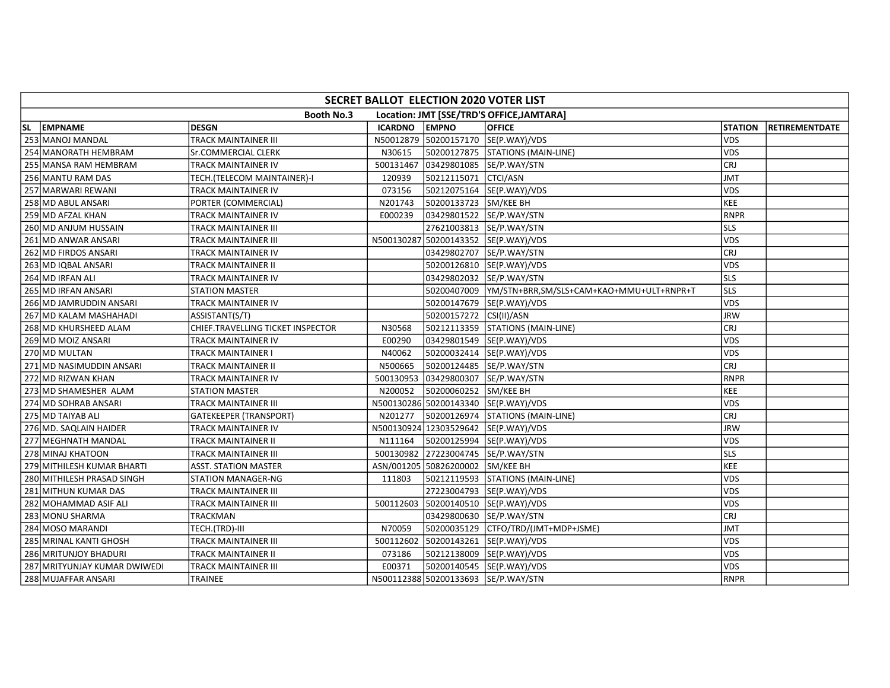|    | SECRET BALLOT ELECTION 2020 VOTER LIST                         |                                   |                |                                  |                                                         |                |                       |  |  |  |  |
|----|----------------------------------------------------------------|-----------------------------------|----------------|----------------------------------|---------------------------------------------------------|----------------|-----------------------|--|--|--|--|
|    | <b>Booth No.3</b><br>Location: JMT [SSE/TRD'S OFFICE, JAMTARA] |                                   |                |                                  |                                                         |                |                       |  |  |  |  |
| SL | EMPNAME                                                        | <b>DESGN</b>                      | <b>ICARDNO</b> | <b>EMPNO</b>                     | <b>OFFICE</b>                                           | <b>STATION</b> | <b>RETIREMENTDATE</b> |  |  |  |  |
|    | 253 MANOJ MANDAL                                               | TRACK MAINTAINER III              |                |                                  | N50012879 50200157170 SE(P.WAY)/VDS                     | <b>VDS</b>     |                       |  |  |  |  |
|    | 254 MANORATH HEMBRAM                                           | Sr.COMMERCIAL CLERK               | N30615         |                                  | 50200127875   STATIONS (MAIN-LINE)                      | <b>VDS</b>     |                       |  |  |  |  |
|    | 255 MANSA RAM HEMBRAM                                          | TRACK MAINTAINER IV               | 500131467      |                                  | 03429801085 SE/P.WAY/STN                                | <b>CRJ</b>     |                       |  |  |  |  |
|    | 256 MANTU RAM DAS                                              | TECH.(TELECOM MAINTAINER)-I       | 120939         | 50212115071                      | CTCI/ASN                                                | <b>JMT</b>     |                       |  |  |  |  |
|    | 257 MARWARI REWANI                                             | TRACK MAINTAINER IV               | 073156         |                                  | 50212075164  SE(P.WAY)/VDS                              | <b>VDS</b>     |                       |  |  |  |  |
|    | 258 MD ABUL ANSARI                                             | PORTER (COMMERCIAL)               | N201743        | 50200133723 SM/KEE BH            |                                                         | <b>KEE</b>     |                       |  |  |  |  |
|    | 259 MD AFZAL KHAN                                              | TRACK MAINTAINER IV               | E000239        | 03429801522 SE/P.WAY/STN         |                                                         | <b>RNPR</b>    |                       |  |  |  |  |
|    | 260 MD ANJUM HUSSAIN                                           | TRACK MAINTAINER III              |                |                                  | 27621003813  SE/P.WAY/STN                               | lsls           |                       |  |  |  |  |
|    | 261 MD ANWAR ANSARI                                            | TRACK MAINTAINER III              |                |                                  | N500130287 50200143352 SE(P.WAY)/VDS                    | <b>VDS</b>     |                       |  |  |  |  |
|    | 262 MD FIRDOS ANSARI                                           | TRACK MAINTAINER IV               |                |                                  | 03429802707  SE/P.WAY/STN                               | <b>CRJ</b>     |                       |  |  |  |  |
|    | 263 MD IQBAL ANSARI                                            | TRACK MAINTAINER II               |                |                                  | 50200126810 SE(P.WAY)/VDS                               | <b>VDS</b>     |                       |  |  |  |  |
|    | 264 MD IRFAN ALI                                               | TRACK MAINTAINER IV               |                |                                  | 03429802032 SE/P.WAY/STN                                | <b>SLS</b>     |                       |  |  |  |  |
|    | 265 MD IRFAN ANSARI                                            | <b>STATION MASTER</b>             |                |                                  | 50200407009   YM/STN+BRR, SM/SLS+CAM+KAO+MMU+ULT+RNPR+T | <b>SLS</b>     |                       |  |  |  |  |
|    | 266 MD JAMRUDDIN ANSARI                                        | TRACK MAINTAINER IV               |                |                                  | 50200147679  SE(P.WAY)/VDS                              | <b>VDS</b>     |                       |  |  |  |  |
|    | 267 MD KALAM MASHAHADI                                         | ASSISTANT(S/T)                    |                | 50200157272 CSI(II)/ASN          |                                                         | <b>JRW</b>     |                       |  |  |  |  |
|    | 268 MD KHURSHEED ALAM                                          | CHIEF.TRAVELLING TICKET INSPECTOR | N30568         |                                  | 50212113359 STATIONS (MAIN-LINE)                        | <b>CRJ</b>     |                       |  |  |  |  |
|    | 269 MD MOIZ ANSARI                                             | TRACK MAINTAINER IV               | E00290         |                                  | 03429801549 SE(P.WAY)/VDS                               | <b>VDS</b>     |                       |  |  |  |  |
|    | 270 MD MULTAN                                                  | TRACK MAINTAINER I                | N40062         |                                  | 50200032414  SE(P.WAY)/VDS                              | <b>VDS</b>     |                       |  |  |  |  |
|    | 271 MD NASIMUDDIN ANSARI                                       | TRACK MAINTAINER II               | N500665        |                                  | 50200124485 SE/P.WAY/STN                                | <b>CRJ</b>     |                       |  |  |  |  |
|    | 272 MD RIZWAN KHAN                                             | TRACK MAINTAINER IV               | 500130953      |                                  | 03429800307 SE/P.WAY/STN                                | <b>RNPR</b>    |                       |  |  |  |  |
|    | 273 MD SHAMESHER ALAM                                          | STATION MASTER                    | N200052        | 50200060252 SM/KEE BH            |                                                         | KEE            |                       |  |  |  |  |
|    | 274 MD SOHRAB ANSARI                                           | TRACK MAINTAINER III              |                |                                  | N500130286 50200143340 SE(P.WAY)/VDS                    | <b>VDS</b>     |                       |  |  |  |  |
|    | 275 MD TAIYAB ALI                                              | GATEKEEPER (TRANSPORT)            | N201277        |                                  | 50200126974 STATIONS (MAIN-LINE)                        | <b>CRJ</b>     |                       |  |  |  |  |
|    | 276 MD. SAQLAIN HAIDER                                         | TRACK MAINTAINER IV               |                |                                  | N500130924 12303529642 SE(P.WAY)/VDS                    | <b>JRW</b>     |                       |  |  |  |  |
|    | 277 MEGHNATH MANDAL                                            | TRACK MAINTAINER II               | N111164        |                                  | 50200125994 SE(P.WAY)/VDS                               | <b>VDS</b>     |                       |  |  |  |  |
|    | 278 MINAJ KHATOON                                              | TRACK MAINTAINER III              |                |                                  | 500130982 27223004745 SE/P.WAY/STN                      | <b>SLS</b>     |                       |  |  |  |  |
|    | 279 MITHILESH KUMAR BHARTI                                     | ASST. STATION MASTER              |                | ASN/001205 50826200002 SM/KEE BH |                                                         | <b>KEE</b>     |                       |  |  |  |  |
|    | 280 MITHILESH PRASAD SINGH                                     | <b>STATION MANAGER-NG</b>         | 111803         |                                  | 50212119593 STATIONS (MAIN-LINE)                        | <b>VDS</b>     |                       |  |  |  |  |
|    | 281 MITHUN KUMAR DAS                                           | TRACK MAINTAINER III              |                |                                  | 27223004793  SE(P.WAY)/VDS                              | <b>VDS</b>     |                       |  |  |  |  |
|    | 282 MOHAMMAD ASIF ALI                                          | TRACK MAINTAINER III              |                |                                  | 500112603 50200140510 SE(P.WAY)/VDS                     | <b>VDS</b>     |                       |  |  |  |  |
|    | 283 MONU SHARMA                                                | TRACKMAN                          |                |                                  | 03429800630 SE/P.WAY/STN                                | <b>CRJ</b>     |                       |  |  |  |  |
|    | 284 MOSO MARANDI                                               | TECH.(TRD)-III                    | N70059         |                                  | 50200035129 CTFO/TRD/(JMT+MDP+JSME)                     | <b>JMT</b>     |                       |  |  |  |  |
|    | 285 MRINAL KANTI GHOSH                                         | TRACK MAINTAINER III              |                |                                  | 500112602 50200143261 SE(P.WAY)/VDS                     | <b>VDS</b>     |                       |  |  |  |  |
|    | 286 MRITUNJOY BHADURI                                          | TRACK MAINTAINER II               | 073186         |                                  | 50212138009  SE(P.WAY)/VDS                              | <b>VDS</b>     |                       |  |  |  |  |
|    | 287 MRITYUNJAY KUMAR DWIWEDI                                   | TRACK MAINTAINER III              | E00371         |                                  | 50200140545  SE(P.WAY)/VDS                              | <b>VDS</b>     |                       |  |  |  |  |
|    | 288 MUJAFFAR ANSARI                                            | TRAINEE                           |                |                                  | N500112388 50200133693 SE/P.WAY/STN                     | <b>RNPR</b>    |                       |  |  |  |  |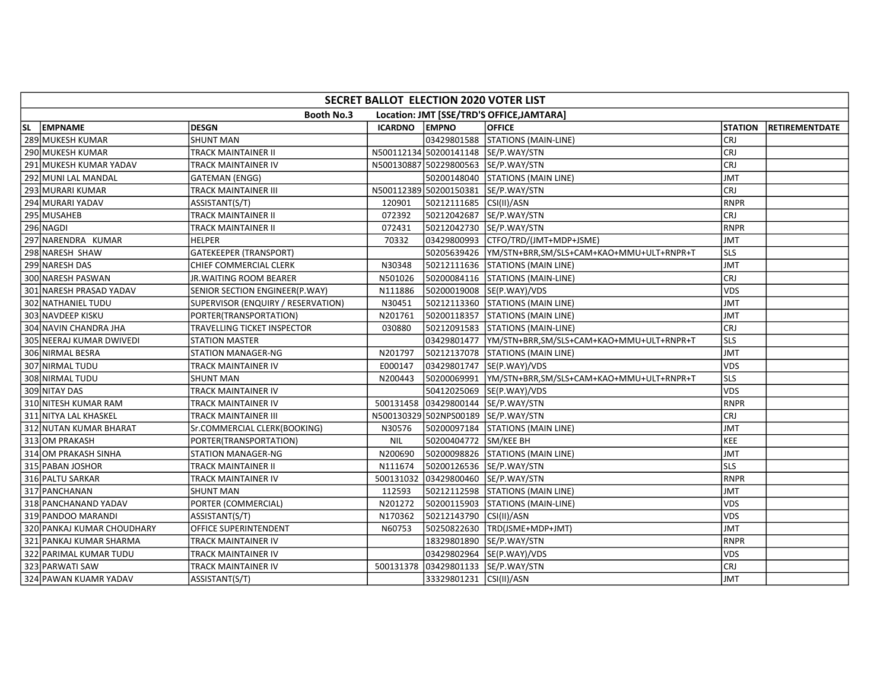|    | SECRET BALLOT ELECTION 2020 VOTER LIST                         |                                    |                |                         |                                                       |                |                       |  |  |  |  |
|----|----------------------------------------------------------------|------------------------------------|----------------|-------------------------|-------------------------------------------------------|----------------|-----------------------|--|--|--|--|
|    | <b>Booth No.3</b><br>Location: JMT [SSE/TRD'S OFFICE, JAMTARA] |                                    |                |                         |                                                       |                |                       |  |  |  |  |
| SL | EMPNAME                                                        | <b>DESGN</b>                       | <b>ICARDNO</b> | <b>EMPNO</b>            | <b>OFFICE</b>                                         | <b>STATION</b> | <b>RETIREMENTDATE</b> |  |  |  |  |
|    | 289 MUKESH KUMAR                                               | <b>SHUNT MAN</b>                   |                |                         | 03429801588 STATIONS (MAIN-LINE)                      | <b>CRJ</b>     |                       |  |  |  |  |
|    | 290 MUKESH KUMAR                                               | TRACK MAINTAINER II                |                |                         | N500112134 50200141148 SE/P.WAY/STN                   | <b>CRJ</b>     |                       |  |  |  |  |
|    | 291 MUKESH KUMAR YADAV                                         | TRACK MAINTAINER IV                |                |                         | N500130887 50229800563 SE/P.WAY/STN                   | CRJ            |                       |  |  |  |  |
|    | 292 MUNI LAL MANDAL                                            | GATEMAN (ENGG)                     |                |                         | 50200148040 STATIONS (MAIN LINE)                      | <b>JMT</b>     |                       |  |  |  |  |
|    | 293 MURARI KUMAR                                               | TRACK MAINTAINER III               |                |                         | N500112389 50200150381 SE/P.WAY/STN                   | <b>CRJ</b>     |                       |  |  |  |  |
|    | 294 MURARI YADAV                                               | ASSISTANT(S/T)                     | 120901         | 50212111685 CSI(II)/ASN |                                                       | <b>RNPR</b>    |                       |  |  |  |  |
|    | 295 MUSAHEB                                                    | TRACK MAINTAINER II                | 072392         |                         | 50212042687 SE/P.WAY/STN                              | <b>CRJ</b>     |                       |  |  |  |  |
|    | 296 NAGDI                                                      | TRACK MAINTAINER II                | 072431         |                         | 50212042730 SE/P.WAY/STN                              | <b>RNPR</b>    |                       |  |  |  |  |
|    | 297 NARENDRA KUMAR                                             | <b>HELPER</b>                      | 70332          |                         | 03429800993 CTFO/TRD/(JMT+MDP+JSME)                   | <b>JMT</b>     |                       |  |  |  |  |
|    | 298 NARESH SHAW                                                | <b>GATEKEEPER (TRANSPORT)</b>      |                |                         | 50205639426  YM/STN+BRR,SM/SLS+CAM+KAO+MMU+ULT+RNPR+T | <b>SLS</b>     |                       |  |  |  |  |
|    | 299 NARESH DAS                                                 | CHIEF COMMERCIAL CLERK             | N30348         |                         | 50212111636 STATIONS (MAIN LINE)                      | <b>JMT</b>     |                       |  |  |  |  |
|    | 300 NARESH PASWAN                                              | <b>JR.WAITING ROOM BEARER</b>      | N501026        |                         | 50200084116 STATIONS (MAIN-LINE)                      | <b>CRJ</b>     |                       |  |  |  |  |
|    | 301 NARESH PRASAD YADAV                                        | SENIOR SECTION ENGINEER(P.WAY)     | N111886        |                         | 50200019008  SE(P.WAY)/VDS                            | <b>VDS</b>     |                       |  |  |  |  |
|    | 302 NATHANIEL TUDU                                             | SUPERVISOR (ENQUIRY / RESERVATION) | N30451         |                         | 50212113360 STATIONS (MAIN LINE)                      | <b>JMT</b>     |                       |  |  |  |  |
|    | 303 NAVDEEP KISKU                                              | PORTER(TRANSPORTATION)             | N201761        |                         | 50200118357   STATIONS (MAIN LINE)                    | <b>JMT</b>     |                       |  |  |  |  |
|    | 304 NAVIN CHANDRA JHA                                          | TRAVELLING TICKET INSPECTOR        | 030880         |                         | 50212091583 STATIONS (MAIN-LINE)                      | <b>CRJ</b>     |                       |  |  |  |  |
|    | 305 NEERAJ KUMAR DWIVEDI                                       | <b>STATION MASTER</b>              |                |                         | 03429801477  YM/STN+BRR,SM/SLS+CAM+KAO+MMU+ULT+RNPR+T | SLS            |                       |  |  |  |  |
|    | 306 NIRMAL BESRA                                               | <b>STATION MANAGER-NG</b>          | N201797        |                         | 50212137078 STATIONS (MAIN LINE)                      | <b>JMT</b>     |                       |  |  |  |  |
|    | 307 NIRMAL TUDU                                                | TRACK MAINTAINER IV                | E000147        |                         | 03429801747  SE(P.WAY)/VDS                            | VDS            |                       |  |  |  |  |
|    | 308 NIRMAL TUDU                                                | <b>SHUNT MAN</b>                   | N200443        |                         |                                                       | <b>SLS</b>     |                       |  |  |  |  |
|    | 309 NITAY DAS                                                  | TRACK MAINTAINER IV                |                |                         | 50412025069 SE(P.WAY)/VDS                             | <b>VDS</b>     |                       |  |  |  |  |
|    | 310 NITESH KUMAR RAM                                           | TRACK MAINTAINER IV                |                |                         | 500131458 03429800144 SE/P.WAY/STN                    | <b>RNPR</b>    |                       |  |  |  |  |
|    | 311 NITYA LAL KHASKEL                                          | TRACK MAINTAINER III               |                |                         | N500130329 502NPS00189 SE/P.WAY/STN                   | <b>CRJ</b>     |                       |  |  |  |  |
|    | 312 NUTAN KUMAR BHARAT                                         | Sr.COMMERCIAL CLERK(BOOKING)       | N30576         |                         | 50200097184   STATIONS (MAIN LINE)                    | <b>JMT</b>     |                       |  |  |  |  |
|    | 313 OM PRAKASH                                                 | PORTER(TRANSPORTATION)             | <b>NIL</b>     | 50200404772 SM/KEE BH   |                                                       | KEE            |                       |  |  |  |  |
|    | 314 OM PRAKASH SINHA                                           | <b>STATION MANAGER-NG</b>          | N200690        |                         | 50200098826 STATIONS (MAIN LINE)                      | <b>JMT</b>     |                       |  |  |  |  |
|    | 315 PABAN JOSHOR                                               | TRACK MAINTAINER II                | N111674        |                         | 50200126536 SE/P.WAY/STN                              | <b>SLS</b>     |                       |  |  |  |  |
|    | 316 PALTU SARKAR                                               | TRACK MAINTAINER IV                |                |                         | 500131032 03429800460 SE/P.WAY/STN                    | <b>RNPR</b>    |                       |  |  |  |  |
|    | 317 PANCHANAN                                                  | <b>SHUNT MAN</b>                   | 112593         |                         | 50212112598 STATIONS (MAIN LINE)                      | <b>JMT</b>     |                       |  |  |  |  |
|    | 318 PANCHANAND YADAV                                           | PORTER (COMMERCIAL)                | N201272        |                         | 50200115903 STATIONS (MAIN-LINE)                      | <b>VDS</b>     |                       |  |  |  |  |
|    | 319 PANDOO MARANDI                                             | ASSISTANT(S/T)                     | N170362        | 50212143790 CSI(II)/ASN |                                                       | <b>VDS</b>     |                       |  |  |  |  |
|    | 320 PANKAJ KUMAR CHOUDHARY                                     | OFFICE SUPERINTENDENT              | N60753         |                         | 50250822630   TRD(JSME+MDP+JMT)                       | <b>JMT</b>     |                       |  |  |  |  |
|    | 321 PANKAJ KUMAR SHARMA                                        | TRACK MAINTAINER IV                |                |                         | 18329801890 SE/P.WAY/STN                              | <b>RNPR</b>    |                       |  |  |  |  |
|    | 322 PARIMAL KUMAR TUDU                                         | TRACK MAINTAINER IV                |                |                         | 03429802964  SE(P.WAY)/VDS                            | <b>VDS</b>     |                       |  |  |  |  |
|    | 323 PARWATI SAW                                                | TRACK MAINTAINER IV                |                |                         | 500131378 03429801133 SE/P.WAY/STN                    | <b>CRJ</b>     |                       |  |  |  |  |
|    | 324 PAWAN KUAMR YADAV                                          | ASSISTANT(S/T)                     |                | 33329801231 CSI(II)/ASN |                                                       | JMT            |                       |  |  |  |  |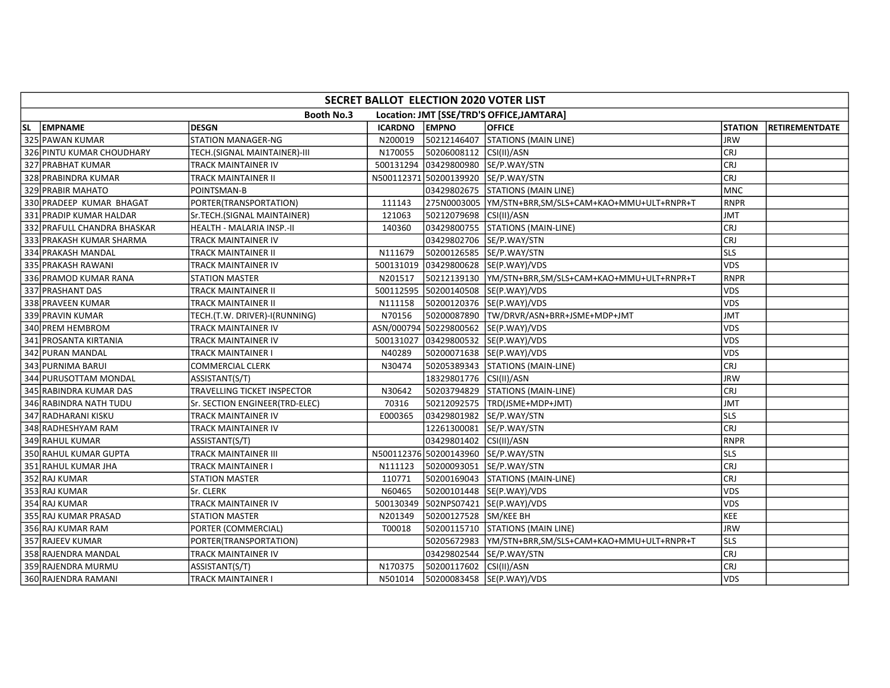| SECRET BALLOT ELECTION 2020 VOTER LIST                         |                                |                |                                     |                                          |                |                       |  |  |  |  |
|----------------------------------------------------------------|--------------------------------|----------------|-------------------------------------|------------------------------------------|----------------|-----------------------|--|--|--|--|
| Location: JMT [SSE/TRD'S OFFICE, JAMTARA]<br><b>Booth No.3</b> |                                |                |                                     |                                          |                |                       |  |  |  |  |
| SL EMPNAME                                                     | <b>DESGN</b>                   | <b>ICARDNO</b> | <b>EMPNO</b>                        | <b>OFFICE</b>                            | <b>STATION</b> | <b>RETIREMENTDATE</b> |  |  |  |  |
| 325 PAWAN KUMAR                                                | <b>STATION MANAGER-NG</b>      | N200019        | 50212146407                         | STATIONS (MAIN LINE)                     | <b>JRW</b>     |                       |  |  |  |  |
| 326 PINTU KUMAR CHOUDHARY                                      | TECH.(SIGNAL MAINTAINER)-III   | N170055        | 50206008112 CSI(II)/ASN             |                                          | CRJ            |                       |  |  |  |  |
| 327 PRABHAT KUMAR                                              | <b>TRACK MAINTAINER IV</b>     |                | 500131294 03429800980 SE/P.WAY/STN  |                                          | CRJ            |                       |  |  |  |  |
| 328 PRABINDRA KUMAR                                            | <b>TRACK MAINTAINER II</b>     |                | N500112371 50200139920 SE/P.WAY/STN |                                          | <b>CRJ</b>     |                       |  |  |  |  |
| 329 PRABIR MAHATO                                              | POINTSMAN-B                    |                |                                     | 03429802675 STATIONS (MAIN LINE)         | MNC            |                       |  |  |  |  |
| 330 PRADEEP KUMAR BHAGAT                                       | PORTER(TRANSPORTATION)         | 111143         |                                     |                                          | <b>RNPR</b>    |                       |  |  |  |  |
| 331 PRADIP KUMAR HALDAR                                        | Sr.TECH.(SIGNAL MAINTAINER)    | 121063         | 50212079698 CSI(II)/ASN             |                                          | JMT            |                       |  |  |  |  |
| 332 PRAFULL CHANDRA BHASKAR                                    | HEALTH - MALARIA INSP.-II      | 140360         |                                     | 03429800755 STATIONS (MAIN-LINE)         | lcrj           |                       |  |  |  |  |
| 333 PRAKASH KUMAR SHARMA                                       | <b>TRACK MAINTAINER IV</b>     |                | 03429802706 SE/P.WAY/STN            |                                          | CRJ            |                       |  |  |  |  |
| 334 PRAKASH MANDAL                                             | <b>TRACK MAINTAINER II</b>     | N111679        | 50200126585 SE/P.WAY/STN            |                                          | lsls           |                       |  |  |  |  |
| 335 PRAKASH RAWANI                                             | <b>TRACK MAINTAINER IV</b>     |                |                                     | 500131019 03429800628 SE(P.WAY)/VDS      | <b>VDS</b>     |                       |  |  |  |  |
| 336 PRAMOD KUMAR RANA                                          | <b>STATION MASTER</b>          | N201517        |                                     |                                          | <b>RNPR</b>    |                       |  |  |  |  |
| 337 PRASHANT DAS                                               | <b>TRACK MAINTAINER II</b>     |                |                                     | 500112595 50200140508 SE(P.WAY)/VDS      | VDS            |                       |  |  |  |  |
| 338 PRAVEEN KUMAR                                              | TRACK MAINTAINER II            | N111158        |                                     | 50200120376 SE(P.WAY)/VDS                | VDS            |                       |  |  |  |  |
| 339 PRAVIN KUMAR                                               | TECH.(T.W. DRIVER)-I(RUNNING)  | N70156         |                                     | 50200087890 TW/DRVR/ASN+BRR+JSME+MDP+JMT | JMT            |                       |  |  |  |  |
| 340 PREM HEMBROM                                               | <b>TRACK MAINTAINER IV</b>     |                |                                     | ASN/000794 50229800562 SE(P.WAY)/VDS     | <b>VDS</b>     |                       |  |  |  |  |
| 341 PROSANTA KIRTANIA                                          | <b>TRACK MAINTAINER IV</b>     |                |                                     | 500131027 03429800532 SE(P.WAY)/VDS      | VDS            |                       |  |  |  |  |
| 342 PURAN MANDAL                                               | <b>TRACK MAINTAINER I</b>      | N40289         |                                     | 50200071638 SE(P.WAY)/VDS                | <b>VDS</b>     |                       |  |  |  |  |
| 343 PURNIMA BARUI                                              | <b>COMMERCIAL CLERK</b>        | N30474         |                                     | 50205389343 STATIONS (MAIN-LINE)         | CRJ            |                       |  |  |  |  |
| 344 PURUSOTTAM MONDAL                                          | ASSISTANT(S/T)                 |                | 18329801776 CSI(II)/ASN             |                                          | <b>JRW</b>     |                       |  |  |  |  |
| 345 RABINDRA KUMAR DAS                                         | TRAVELLING TICKET INSPECTOR    | N30642         |                                     | 50203794829 STATIONS (MAIN-LINE)         | CRJ            |                       |  |  |  |  |
| 346 RABINDRA NATH TUDU                                         | Sr. SECTION ENGINEER(TRD-ELEC) | 70316          |                                     | 50212092575  TRD(JSME+MDP+JMT)           | <b>JMT</b>     |                       |  |  |  |  |
| 347 RADHARANI KISKU                                            | TRACK MAINTAINER IV            | E000365        | 03429801982 SE/P.WAY/STN            |                                          | <b>SLS</b>     |                       |  |  |  |  |
| 348 RADHESHYAM RAM                                             | <b>TRACK MAINTAINER IV</b>     |                |                                     | 12261300081  SE/P.WAY/STN                | CRJ            |                       |  |  |  |  |
| 349 RAHUL KUMAR                                                | ASSISTANT(S/T)                 |                | 03429801402 CSI(II)/ASN             |                                          | IRNPR          |                       |  |  |  |  |
| 350 RAHUL KUMAR GUPTA                                          | <b>TRACK MAINTAINER III</b>    |                | N500112376 50200143960 SE/P.WAY/STN |                                          | <b>SLS</b>     |                       |  |  |  |  |
| 351 RAHUL KUMAR JHA                                            | <b>TRACK MAINTAINER I</b>      | N111123        | 50200093051 SE/P.WAY/STN            |                                          | lcrj           |                       |  |  |  |  |
| 352 RAJ KUMAR                                                  | <b>STATION MASTER</b>          | 110771         |                                     | 50200169043 STATIONS (MAIN-LINE)         | CRJ            |                       |  |  |  |  |
| 353 RAJ KUMAR                                                  | Sr. CLERK                      | N60465         |                                     | 50200101448 SE(P.WAY)/VDS                | <b>VDS</b>     |                       |  |  |  |  |
| 354 RAJ KUMAR                                                  | <b>TRACK MAINTAINER IV</b>     |                |                                     | 500130349 502NPS07421 SE(P.WAY)/VDS      | VDS            |                       |  |  |  |  |
| 355 RAJ KUMAR PRASAD                                           | <b>STATION MASTER</b>          | N201349        | 50200127528 SM/KEE BH               |                                          | KEE            |                       |  |  |  |  |
| 356 RAJ KUMAR RAM                                              | PORTER (COMMERCIAL)            | T00018         |                                     | 50200115710 STATIONS (MAIN LINE)         | <b>JRW</b>     |                       |  |  |  |  |
| 357 RAJEEV KUMAR                                               | PORTER(TRANSPORTATION)         |                |                                     |                                          | lsls           |                       |  |  |  |  |
| 358 RAJENDRA MANDAL                                            | <b>TRACK MAINTAINER IV</b>     |                | 03429802544 SE/P.WAY/STN            |                                          | <b>CRJ</b>     |                       |  |  |  |  |
| 359 RAJENDRA MURMU                                             | ASSISTANT(S/T)                 | N170375        | 50200117602 CSI(II)/ASN             |                                          | lcri           |                       |  |  |  |  |
| 360 RAJENDRA RAMANI                                            | <b>TRACK MAINTAINER I</b>      | N501014        |                                     | 50200083458 SE(P.WAY)/VDS                | <b>VDS</b>     |                       |  |  |  |  |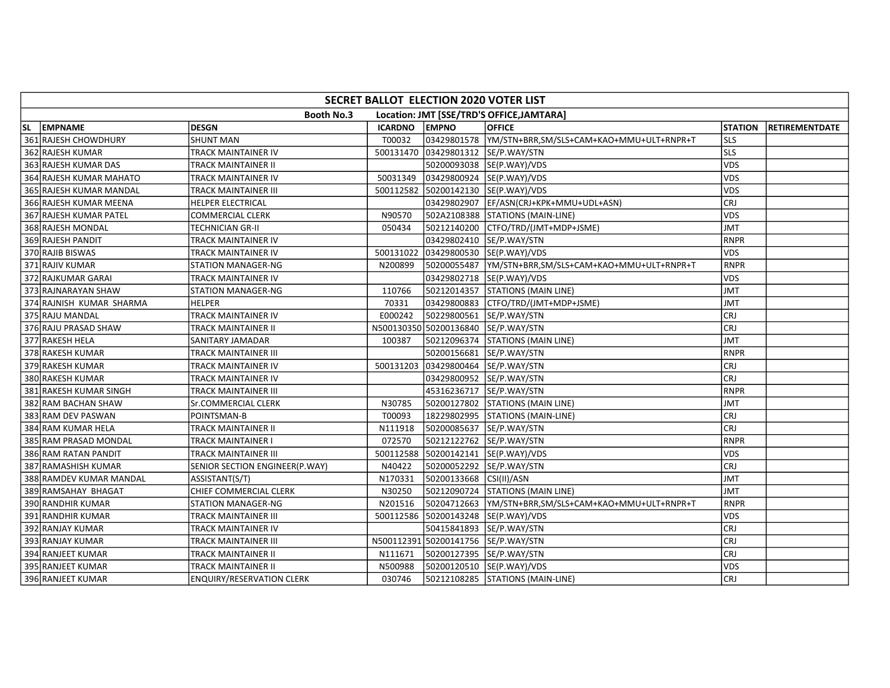| SECRET BALLOT ELECTION 2020 VOTER LIST |                                  |                |                          |                                                       |                |                       |  |  |  |  |
|----------------------------------------|----------------------------------|----------------|--------------------------|-------------------------------------------------------|----------------|-----------------------|--|--|--|--|
|                                        | <b>Booth No.3</b>                |                |                          | Location: JMT [SSE/TRD'S OFFICE, JAMTARA]             |                |                       |  |  |  |  |
| SL EMPNAME                             | <b>DESGN</b>                     | <b>ICARDNO</b> | <b>EMPNO</b>             | <b>OFFICE</b>                                         | <b>STATION</b> | <b>RETIREMENTDATE</b> |  |  |  |  |
| 361 RAJESH CHOWDHURY                   | <b>SHUNT MAN</b>                 | T00032         |                          | 03429801578  YM/STN+BRR,SM/SLS+CAM+KAO+MMU+ULT+RNPR+T | lsls           |                       |  |  |  |  |
| 362 RAJESH KUMAR                       | TRACK MAINTAINER IV              |                |                          | 500131470 03429801312 SE/P.WAY/STN                    | lsls           |                       |  |  |  |  |
| 363 RAJESH KUMAR DAS                   | TRACK MAINTAINER II              |                |                          | 50200093038 SE(P.WAY)/VDS                             | <b>VDS</b>     |                       |  |  |  |  |
| 364 RAJESH KUMAR MAHATO                | TRACK MAINTAINER IV              | 50031349       |                          | 03429800924 SE(P.WAY)/VDS                             | <b>VDS</b>     |                       |  |  |  |  |
| 365 RAJESH KUMAR MANDAL                | TRACK MAINTAINER III             |                |                          | 500112582 50200142130 SE(P.WAY)/VDS                   | <b>VDS</b>     |                       |  |  |  |  |
| 366 RAJESH KUMAR MEENA                 | HELPER ELECTRICAL                |                |                          | 03429802907  EF/ASN(CRJ+KPK+MMU+UDL+ASN)              | <b>CRJ</b>     |                       |  |  |  |  |
| 367 RAJESH KUMAR PATEL                 | COMMERCIAL CLERK                 | N90570         |                          | 502A2108388 STATIONS (MAIN-LINE)                      | <b>VDS</b>     |                       |  |  |  |  |
| 368 RAJESH MONDAL                      | TECHNICIAN GR-II                 | 050434         |                          | 50212140200 CTFO/TRD/(JMT+MDP+JSME)                   | <b>JMT</b>     |                       |  |  |  |  |
| 369 RAJESH PANDIT                      | TRACK MAINTAINER IV              |                |                          | 03429802410  SE/P.WAY/STN                             | RNPR           |                       |  |  |  |  |
| 370 RAJIB BISWAS                       | TRACK MAINTAINER IV              |                |                          | 500131022 03429800530 SE(P.WAY)/VDS                   | <b>VDS</b>     |                       |  |  |  |  |
| 371 RAJIV KUMAR                        | <b>STATION MANAGER-NG</b>        | N200899        |                          | 50200055487  YM/STN+BRR,SM/SLS+CAM+KAO+MMU+ULT+RNPR+T | <b>RNPR</b>    |                       |  |  |  |  |
| 372 RAJKUMAR GARAI                     | TRACK MAINTAINER IV              |                |                          | 03429802718 SE(P.WAY)/VDS                             | <b>VDS</b>     |                       |  |  |  |  |
| 373 RAJNARAYAN SHAW                    | STATION MANAGER-NG               | 110766         |                          | 50212014357 STATIONS (MAIN LINE)                      | <b>JMT</b>     |                       |  |  |  |  |
| 374 RAJNISH KUMAR SHARMA               | <b>HELPER</b>                    | 70331          |                          | 03429800883 CTFO/TRD/(JMT+MDP+JSME)                   | JMT            |                       |  |  |  |  |
| 375 RAJU MANDAL                        | TRACK MAINTAINER IV              | E000242        | 50229800561 SE/P.WAY/STN |                                                       | <b>CRJ</b>     |                       |  |  |  |  |
| 376 RAJU PRASAD SHAW                   | TRACK MAINTAINER II              |                |                          | N500130350 50200136840 SE/P.WAY/STN                   | CRJ            |                       |  |  |  |  |
| 377 RAKESH HELA                        | SANITARY JAMADAR                 | 100387         |                          | 50212096374 STATIONS (MAIN LINE)                      | <b>JMT</b>     |                       |  |  |  |  |
| 378 RAKESH KUMAR                       | TRACK MAINTAINER III             |                | 50200156681              | SE/P.WAY/STN                                          | RNPR           |                       |  |  |  |  |
| 379 RAKESH KUMAR                       | TRACK MAINTAINER IV              |                |                          | 500131203 03429800464 SE/P.WAY/STN                    | CRJ            |                       |  |  |  |  |
| 380 RAKESH KUMAR                       | TRACK MAINTAINER IV              |                | 03429800952 SE/P.WAY/STN |                                                       | <b>CRJ</b>     |                       |  |  |  |  |
| 381 RAKESH KUMAR SINGH                 | TRACK MAINTAINER III             |                |                          | 45316236717 SE/P.WAY/STN                              | RNPR           |                       |  |  |  |  |
| 382 RAM BACHAN SHAW                    | Sr.COMMERCIAL CLERK              | N30785         |                          | 50200127802 STATIONS (MAIN LINE)                      | <b>JMT</b>     |                       |  |  |  |  |
| 383 RAM DEV PASWAN                     | POINTSMAN-B                      | T00093         |                          | 18229802995 STATIONS (MAIN-LINE)                      | CRJ            |                       |  |  |  |  |
| 384 RAM KUMAR HELA                     | TRACK MAINTAINER II              | N111918        |                          | 50200085637  SE/P.WAY/STN                             | <b>CRJ</b>     |                       |  |  |  |  |
| 385 RAM PRASAD MONDAL                  | TRACK MAINTAINER I               | 072570         |                          | 50212122762  SE/P.WAY/STN                             | RNPR           |                       |  |  |  |  |
| 386 RAM RATAN PANDIT                   | TRACK MAINTAINER III             |                |                          | 500112588 50200142141 SE(P.WAY)/VDS                   | <b>VDS</b>     |                       |  |  |  |  |
| 387 RAMASHISH KUMAR                    | SENIOR SECTION ENGINEER(P.WAY)   | N40422         |                          | 50200052292 SE/P.WAY/STN                              | <b>CRJ</b>     |                       |  |  |  |  |
| 388 RAMDEV KUMAR MANDAL                | ASSISTANT(S/T)                   | N170331        | 50200133668 CSI(II)/ASN  |                                                       | <b>TML</b>     |                       |  |  |  |  |
| 389 RAMSAHAY BHAGAT                    | CHIEF COMMERCIAL CLERK           | N30250         |                          | 50212090724 STATIONS (MAIN LINE)                      | <b>JMT</b>     |                       |  |  |  |  |
| 390 RANDHIR KUMAR                      | <b>STATION MANAGER-NG</b>        | N201516        |                          | 50204712663  YM/STN+BRR,SM/SLS+CAM+KAO+MMU+ULT+RNPR+T | <b>RNPR</b>    |                       |  |  |  |  |
| 391 RANDHIR KUMAR                      | TRACK MAINTAINER III             | 500112586      |                          | 50200143248 SE(P.WAY)/VDS                             | <b>VDS</b>     |                       |  |  |  |  |
| 392 RANJAY KUMAR                       | TRACK MAINTAINER IV              |                |                          | 50415841893   SE/P.WAY/STN                            | <b>CRJ</b>     |                       |  |  |  |  |
| 393 RANJAY KUMAR                       | TRACK MAINTAINER III             |                |                          | N500112391 50200141756 SE/P.WAY/STN                   | CRJ            |                       |  |  |  |  |
| 394 RANJEET KUMAR                      | TRACK MAINTAINER II              | N111671        |                          | 50200127395  SE/P.WAY/STN                             | <b>CRJ</b>     |                       |  |  |  |  |
| 395 RANJEET KUMAR                      | TRACK MAINTAINER II              | N500988        |                          | 50200120510  SE(P.WAY)/VDS                            | <b>VDS</b>     |                       |  |  |  |  |
| 396 RANJEET KUMAR                      | <b>ENQUIRY/RESERVATION CLERK</b> | 030746         |                          | 50212108285 STATIONS (MAIN-LINE)                      | CRJ            |                       |  |  |  |  |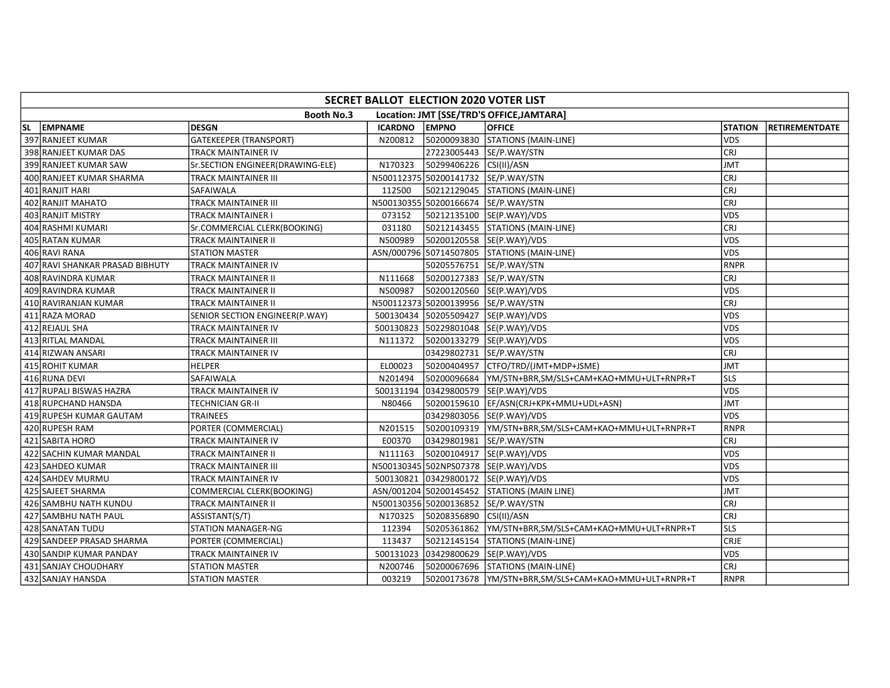| SECRET BALLOT ELECTION 2020 VOTER LIST |                                  |                |                                     |                                                       |                |                       |  |  |  |  |
|----------------------------------------|----------------------------------|----------------|-------------------------------------|-------------------------------------------------------|----------------|-----------------------|--|--|--|--|
|                                        | <b>Booth No.3</b>                |                |                                     | Location: JMT [SSE/TRD'S OFFICE, JAMTARA]             |                |                       |  |  |  |  |
| SL EMPNAME                             | <b>DESGN</b>                     | <b>ICARDNO</b> | <b>EMPNO</b>                        | <b>OFFICE</b>                                         | <b>STATION</b> | <b>RETIREMENTDATE</b> |  |  |  |  |
| 397 RANJEET KUMAR                      | <b>GATEKEEPER (TRANSPORT)</b>    | N200812        |                                     | 50200093830 STATIONS (MAIN-LINE)                      | <b>VDS</b>     |                       |  |  |  |  |
| 398 RANJEET KUMAR DAS                  | TRACK MAINTAINER IV              |                |                                     | 27223005443  SE/P.WAY/STN                             | <b>CRJ</b>     |                       |  |  |  |  |
| 399 RANJEET KUMAR SAW                  | Sr.SECTION ENGINEER(DRAWING-ELE) | N170323        | 50299406226 CSI(II)/ASN             |                                                       | <b>JMT</b>     |                       |  |  |  |  |
| 400 RANJEET KUMAR SHARMA               | TRACK MAINTAINER III             |                |                                     | N500112375 50200141732 SE/P.WAY/STN                   | <b>CRJ</b>     |                       |  |  |  |  |
| 401 RANJIT HARI                        | SAFAIWALA                        | 112500         |                                     | 50212129045   STATIONS (MAIN-LINE)                    | <b>CRJ</b>     |                       |  |  |  |  |
| 402 RANJIT MAHATO                      | TRACK MAINTAINER III             |                |                                     | N500130355 50200166674 SE/P.WAY/STN                   | <b>CRJ</b>     |                       |  |  |  |  |
| 403 RANJIT MISTRY                      | TRACK MAINTAINER I               | 073152         |                                     | 50212135100 SE(P.WAY)/VDS                             | <b>VDS</b>     |                       |  |  |  |  |
| 404 RASHMI KUMARI                      | Sr.COMMERCIAL CLERK(BOOKING)     | 031180         |                                     | 50212143455 STATIONS (MAIN-LINE)                      | <b>CRJ</b>     |                       |  |  |  |  |
| 405 RATAN KUMAR                        | TRACK MAINTAINER II              | N500989        |                                     | 50200120558 SE(P.WAY)/VDS                             | <b>VDS</b>     |                       |  |  |  |  |
| 406 RAVI RANA                          | <b>STATION MASTER</b>            |                |                                     | ASN/000796 50714507805 STATIONS (MAIN-LINE)           | <b>VDS</b>     |                       |  |  |  |  |
| 407 RAVI SHANKAR PRASAD BIBHUTY        | TRACK MAINTAINER IV              |                |                                     | 50205576751 SE/P.WAY/STN                              | <b>RNPR</b>    |                       |  |  |  |  |
| 408 RAVINDRA KUMAR                     | TRACK MAINTAINER II              | N111668        |                                     | 50200127383 SE/P.WAY/STN                              | <b>CRJ</b>     |                       |  |  |  |  |
| 409 RAVINDRA KUMAR                     | TRACK MAINTAINER II              | N500987        |                                     | 50200120560 SE(P.WAY)/VDS                             | <b>VDS</b>     |                       |  |  |  |  |
| 410 RAVIRANJAN KUMAR                   | TRACK MAINTAINER II              |                | N500112373 50200139956 SE/P.WAY/STN |                                                       | <b>CRJ</b>     |                       |  |  |  |  |
| 411 RAZA MORAD                         | SENIOR SECTION ENGINEER(P.WAY)   |                |                                     | 500130434 50205509427 SE(P.WAY)/VDS                   | <b>VDS</b>     |                       |  |  |  |  |
| 412 REJAUL SHA                         | TRACK MAINTAINER IV              |                |                                     | 500130823 50229801048 SE(P.WAY)/VDS                   | <b>VDS</b>     |                       |  |  |  |  |
| 413 RITLAL MANDAL                      | TRACK MAINTAINER III             | N111372        |                                     | 50200133279 SE(P.WAY)/VDS                             | <b>VDS</b>     |                       |  |  |  |  |
| 414 RIZWAN ANSARI                      | TRACK MAINTAINER IV              |                |                                     | 03429802731 SE/P.WAY/STN                              | <b>CRJ</b>     |                       |  |  |  |  |
| 415 ROHIT KUMAR                        | <b>HELPER</b>                    | EL00023        |                                     | 50200404957   CTFO/TRD/(JMT+MDP+JSME)                 | JMT            |                       |  |  |  |  |
| 416 RUNA DEVI                          | SAFAIWALA                        | N201494        |                                     |                                                       | <b>SLS</b>     |                       |  |  |  |  |
| 417 RUPALI BISWAS HAZRA                | TRACK MAINTAINER IV              | 500131194      |                                     | 03429800579 SE(P.WAY)/VDS                             | <b>VDS</b>     |                       |  |  |  |  |
| 418 RUPCHAND HANSDA                    | TECHNICIAN GR-II                 | N80466         |                                     | 50200159610   EF/ASN(CRJ+KPK+MMU+UDL+ASN)             | <b>JMT</b>     |                       |  |  |  |  |
| 419 RUPESH KUMAR GAUTAM                | TRAINEES                         |                |                                     | 03429803056 SE(P.WAY)/VDS                             | <b>VDS</b>     |                       |  |  |  |  |
| 420 RUPESH RAM                         | PORTER (COMMERCIAL)              | N201515        |                                     | 50200109319  YM/STN+BRR,SM/SLS+CAM+KAO+MMU+ULT+RNPR+T | <b>RNPR</b>    |                       |  |  |  |  |
| 421 SABITA HORO                        | TRACK MAINTAINER IV              | E00370         |                                     | 03429801981 SE/P.WAY/STN                              | <b>CRJ</b>     |                       |  |  |  |  |
| 422 SACHIN KUMAR MANDAL                | TRACK MAINTAINER II              | N111163        |                                     | 50200104917 SE(P.WAY)/VDS                             | <b>VDS</b>     |                       |  |  |  |  |
| 423 SAHDEO KUMAR                       | TRACK MAINTAINER III             |                |                                     | N500130345 502NPS07378 SE(P.WAY)/VDS                  | <b>VDS</b>     |                       |  |  |  |  |
| 424 SAHDEV MURMU                       | TRACK MAINTAINER IV              |                |                                     | 500130821 03429800172 SE(P.WAY)/VDS                   | <b>VDS</b>     |                       |  |  |  |  |
| 425 SAJEET SHARMA                      | COMMERCIAL CLERK(BOOKING)        |                |                                     | ASN/001204 50200145452 STATIONS (MAIN LINE)           | <b>JMT</b>     |                       |  |  |  |  |
| 426 SAMBHU NATH KUNDU                  | TRACK MAINTAINER II              |                | N500130356 50200136852 SE/P.WAY/STN |                                                       | <b>CRJ</b>     |                       |  |  |  |  |
| 427 SAMBHU NATH PAUL                   | ASSISTANT(S/T)                   | N170325        | 50208356890 CSI(II)/ASN             |                                                       | <b>CRJ</b>     |                       |  |  |  |  |
| 428 SANATAN TUDU                       | <b>STATION MANAGER-NG</b>        | 112394         |                                     | 50205361862  YM/STN+BRR,SM/SLS+CAM+KAO+MMU+ULT+RNPR+T | <b>SLS</b>     |                       |  |  |  |  |
| 429 SANDEEP PRASAD SHARMA              | PORTER (COMMERCIAL)              | 113437         |                                     | 50212145154 STATIONS (MAIN-LINE)                      | CRJE           |                       |  |  |  |  |
| 430 SANDIP KUMAR PANDAY                | TRACK MAINTAINER IV              | 500131023      |                                     | 03429800629 SE(P.WAY)/VDS                             | <b>VDS</b>     |                       |  |  |  |  |
| 431 SANJAY CHOUDHARY                   | <b>STATION MASTER</b>            | N200746        |                                     | 50200067696 STATIONS (MAIN-LINE)                      | <b>CRJ</b>     |                       |  |  |  |  |
| 432 SANJAY HANSDA                      | <b>STATION MASTER</b>            | 003219         |                                     | 50200173678  YM/STN+BRR,SM/SLS+CAM+KAO+MMU+ULT+RNPR+T | RNPR           |                       |  |  |  |  |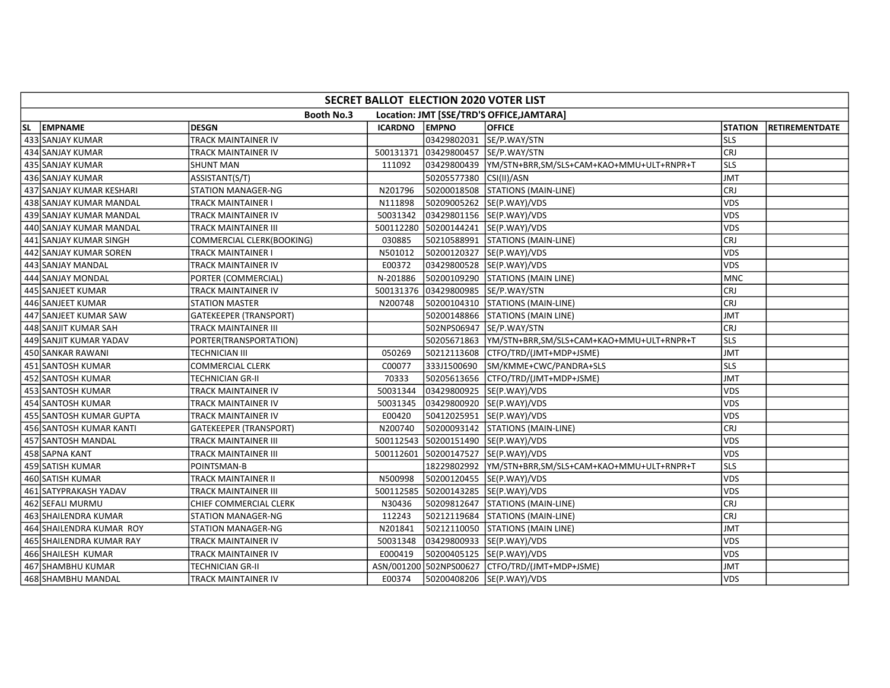| SECRET BALLOT ELECTION 2020 VOTER LIST                         |                          |                           |                |                          |                                                       |                |                       |
|----------------------------------------------------------------|--------------------------|---------------------------|----------------|--------------------------|-------------------------------------------------------|----------------|-----------------------|
| <b>Booth No.3</b><br>Location: JMT [SSE/TRD'S OFFICE, JAMTARA] |                          |                           |                |                          |                                                       |                |                       |
| SL.                                                            | EMPNAME                  | <b>DESGN</b>              | <b>ICARDNO</b> | <b>EMPNO</b>             | <b>OFFICE</b>                                         | <b>STATION</b> | <b>RETIREMENTDATE</b> |
|                                                                | 433 SANJAY KUMAR         | TRACK MAINTAINER IV       |                | 03429802031              | SE/P.WAY/STN                                          | lsls           |                       |
|                                                                | 434 SANJAY KUMAR         | TRACK MAINTAINER IV       | 500131371      | 03429800457 SE/P.WAY/STN |                                                       | <b>CRJ</b>     |                       |
|                                                                | 435 SANJAY KUMAR         | <b>SHUNT MAN</b>          | 111092         |                          |                                                       | <b>SLS</b>     |                       |
|                                                                | 436 SANJAY KUMAR         | ASSISTANT(S/T)            |                | 50205577380              | CSI(II)/ASN                                           | JMT            |                       |
|                                                                | 437 SANJAY KUMAR KESHARI | <b>STATION MANAGER-NG</b> | N201796        |                          | 50200018508   STATIONS (MAIN-LINE)                    | <b>CRJ</b>     |                       |
|                                                                | 438 SANJAY KUMAR MANDAL  | TRACK MAINTAINER I        | N111898        |                          | 50209005262 SE(P.WAY)/VDS                             | <b>VDS</b>     |                       |
|                                                                | 439 SANJAY KUMAR MANDAL  | TRACK MAINTAINER IV       | 50031342       |                          | 03429801156 SE(P.WAY)/VDS                             | VDS            |                       |
|                                                                | 440 SANJAY KUMAR MANDAL  | TRACK MAINTAINER III      |                |                          | 500112280 50200144241 SE(P.WAY)/VDS                   | <b>VDS</b>     |                       |
|                                                                | 441 SANJAY KUMAR SINGH   | COMMERCIAL CLERK(BOOKING) | 030885         |                          | 50210588991   STATIONS (MAIN-LINE)                    | <b>CRJ</b>     |                       |
|                                                                | 442 SANJAY KUMAR SOREN   | TRACK MAINTAINER I        | N501012        |                          | 50200120327  SE(P.WAY)/VDS                            | <b>VDS</b>     |                       |
|                                                                | 443 SANJAY MANDAL        | TRACK MAINTAINER IV       | E00372         |                          | 03429800528  SE(P.WAY)/VDS                            | VDS            |                       |
|                                                                | 444 SANJAY MONDAL        | PORTER (COMMERCIAL)       | N-201886       |                          | 50200109290 STATIONS (MAIN LINE)                      | <b>MNC</b>     |                       |
|                                                                | 445 SANJEET KUMAR        | TRACK MAINTAINER IV       | 500131376      | 03429800985 SE/P.WAY/STN |                                                       | <b>CRJ</b>     |                       |
|                                                                | 446 SANJEET KUMAR        | STATION MASTER            | N200748        |                          | 50200104310 STATIONS (MAIN-LINE)                      | <b>CRJ</b>     |                       |
|                                                                | 447 SANJEET KUMAR SAW    | GATEKEEPER (TRANSPORT)    |                |                          | 50200148866   STATIONS (MAIN LINE)                    | <b>JMT</b>     |                       |
|                                                                | 448 SANJIT KUMAR SAH     | TRACK MAINTAINER III      |                |                          | 502NPS06947   SE/P.WAY/STN                            | <b>CRJ</b>     |                       |
|                                                                | 449 SANJIT KUMAR YADAV   | PORTER(TRANSPORTATION)    |                |                          | 50205671863  YM/STN+BRR,SM/SLS+CAM+KAO+MMU+ULT+RNPR+T | lsls           |                       |
|                                                                | 450 SANKAR RAWANI        | TECHNICIAN III            | 050269         |                          | 50212113608 CTFO/TRD/(JMT+MDP+JSME)                   | <b>JMT</b>     |                       |
|                                                                | 451 SANTOSH KUMAR        | COMMERCIAL CLERK          | C00077         | 333J1500690              | SM/KMME+CWC/PANDRA+SLS                                | <b>SLS</b>     |                       |
|                                                                | 452 SANTOSH KUMAR        | TECHNICIAN GR-II          | 70333          |                          | 50205613656 CTFO/TRD/(JMT+MDP+JSME)                   | <b>JMT</b>     |                       |
|                                                                | 453 SANTOSH KUMAR        | TRACK MAINTAINER IV       | 50031344       |                          | 03429800925  SE(P.WAY)/VDS                            | <b>VDS</b>     |                       |
|                                                                | 454 SANTOSH KUMAR        | TRACK MAINTAINER IV       | 50031345       |                          | 03429800920  SE(P.WAY)/VDS                            | <b>VDS</b>     |                       |
|                                                                | 455 SANTOSH KUMAR GUPTA  | TRACK MAINTAINER IV       | E00420         |                          | 50412025951  SE(P.WAY)/VDS                            | <b>VDS</b>     |                       |
|                                                                | 456 SANTOSH KUMAR KANTI  | GATEKEEPER (TRANSPORT)    | N200740        |                          | 50200093142   STATIONS (MAIN-LINE)                    | <b>CRJ</b>     |                       |
|                                                                | 457 SANTOSH MANDAL       | TRACK MAINTAINER III      |                |                          | 500112543 50200151490 SE(P.WAY)/VDS                   | <b>VDS</b>     |                       |
|                                                                | 458 SAPNA KANT           | TRACK MAINTAINER III      |                |                          | 500112601 50200147527 SE(P.WAY)/VDS                   | <b>VDS</b>     |                       |
|                                                                | 459 SATISH KUMAR         | POINTSMAN-B               |                |                          | 18229802992  YM/STN+BRR,SM/SLS+CAM+KAO+MMU+ULT+RNPR+T | lsls           |                       |
|                                                                | 460 SATISH KUMAR         | TRACK MAINTAINER II       | N500998        |                          | 50200120455 SE(P.WAY)/VDS                             | <b>VDS</b>     |                       |
|                                                                | 461 SATYPRAKASH YADAV    | TRACK MAINTAINER III      |                |                          | 500112585 50200143285 SE(P.WAY)/VDS                   | <b>VDS</b>     |                       |
|                                                                | 462 SEFALI MURMU         | CHIEF COMMERCIAL CLERK    | N30436         |                          | 50209812647   STATIONS (MAIN-LINE)                    | <b>CRJ</b>     |                       |
|                                                                | 463 SHAILENDRA KUMAR     | <b>STATION MANAGER-NG</b> | 112243         |                          | 50212119684   STATIONS (MAIN-LINE)                    | <b>CRJ</b>     |                       |
|                                                                | 464 SHAILENDRA KUMAR ROY | <b>STATION MANAGER-NG</b> | N201841        |                          | 50212110050 STATIONS (MAIN LINE)                      | <b>JMT</b>     |                       |
|                                                                | 465 SHAILENDRA KUMAR RAY | TRACK MAINTAINER IV       | 50031348       |                          | 03429800933 SE(P.WAY)/VDS                             | <b>VDS</b>     |                       |
|                                                                | 466 SHAILESH KUMAR       | TRACK MAINTAINER IV       | E000419        |                          | 50200405125 SE(P.WAY)/VDS                             | <b>VDS</b>     |                       |
|                                                                | 467 SHAMBHU KUMAR        | TECHNICIAN GR-II          |                |                          | ASN/001200 502NPS00627 CTFO/TRD/(JMT+MDP+JSME)        | <b>JMT</b>     |                       |
|                                                                | 468 SHAMBHU MANDAL       | TRACK MAINTAINER IV       | E00374         |                          | 50200408206 SE(P.WAY)/VDS                             | <b>VDS</b>     |                       |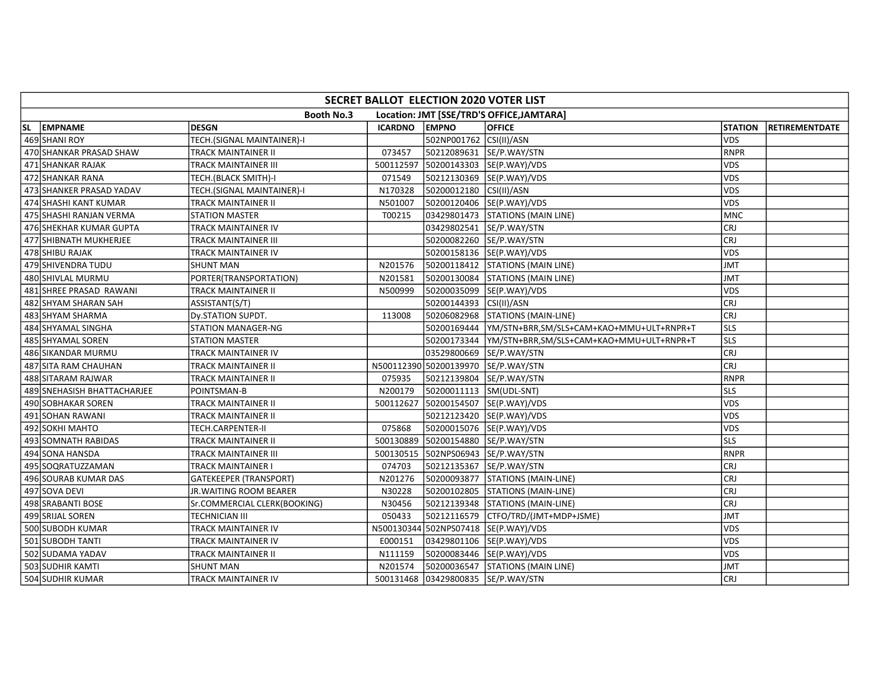| SECRET BALLOT ELECTION 2020 VOTER LIST                         |                             |                               |                |                          |                                      |                |                       |  |
|----------------------------------------------------------------|-----------------------------|-------------------------------|----------------|--------------------------|--------------------------------------|----------------|-----------------------|--|
| <b>Booth No.3</b><br>Location: JMT [SSE/TRD'S OFFICE, JAMTARA] |                             |                               |                |                          |                                      |                |                       |  |
| SL.                                                            | EMPNAME                     | <b>DESGN</b>                  | <b>ICARDNO</b> | <b>EMPNO</b>             | <b>OFFICE</b>                        | <b>STATION</b> | <b>RETIREMENTDATE</b> |  |
|                                                                | 469 SHANI ROY               | TECH.(SIGNAL MAINTAINER)-I    |                | 502NP001762 CSI(II)/ASN  |                                      | <b>VDS</b>     |                       |  |
|                                                                | 470 SHANKAR PRASAD SHAW     | TRACK MAINTAINER II           | 073457         |                          | 50212089631 SE/P.WAY/STN             | RNPR           |                       |  |
|                                                                | 471 SHANKAR RAJAK           | TRACK MAINTAINER III          | 500112597      |                          | 50200143303 SE(P.WAY)/VDS            | <b>VDS</b>     |                       |  |
|                                                                | 472 SHANKAR RANA            | TECH.(BLACK SMITH)-I          | 071549         |                          | 50212130369 SE(P.WAY)/VDS            | <b>VDS</b>     |                       |  |
|                                                                | 473 SHANKER PRASAD YADAV    | TECH.(SIGNAL MAINTAINER)-I    | N170328        | 50200012180 CSI(II)/ASN  |                                      | VDS            |                       |  |
|                                                                | 474 SHASHI KANT KUMAR       | TRACK MAINTAINER II           | N501007        |                          | 50200120406  SE(P.WAY)/VDS           | <b>VDS</b>     |                       |  |
|                                                                | 475 SHASHI RANJAN VERMA     | <b>STATION MASTER</b>         | T00215         |                          | 03429801473 STATIONS (MAIN LINE)     | <b>MNC</b>     |                       |  |
|                                                                | 476 SHEKHAR KUMAR GUPTA     | TRACK MAINTAINER IV           |                |                          | 03429802541  SE/P.WAY/STN            | lcrj           |                       |  |
|                                                                | 477 SHIBNATH MUKHERJEE      | TRACK MAINTAINER III          |                |                          | 50200082260 SE/P.WAY/STN             | CRJ            |                       |  |
|                                                                | 478 SHIBU RAJAK             | TRACK MAINTAINER IV           |                |                          | 50200158136  SE(P.WAY)/VDS           | <b>VDS</b>     |                       |  |
|                                                                | 479 SHIVENDRA TUDU          | <b>SHUNT MAN</b>              | N201576        |                          | 50200118412 STATIONS (MAIN LINE)     | <b>JMT</b>     |                       |  |
|                                                                | 480 SHIVLAL MURMU           | PORTER(TRANSPORTATION)        | N201581        |                          | 50200130084 STATIONS (MAIN LINE)     | <b>JMT</b>     |                       |  |
|                                                                | 481 SHREE PRASAD RAWANI     | TRACK MAINTAINER II           | N500999        |                          | 50200035099 SE(P.WAY)/VDS            | <b>VDS</b>     |                       |  |
|                                                                | 482 SHYAM SHARAN SAH        | ASSISTANT(S/T)                |                | 50200144393  CSI(II)/ASN |                                      | CRJ            |                       |  |
|                                                                | 483 SHYAM SHARMA            | Dy.STATION SUPDT.             | 113008         |                          | 50206082968 STATIONS (MAIN-LINE)     | CRJ            |                       |  |
|                                                                | 484 SHYAMAL SINGHA          | <b>STATION MANAGER-NG</b>     |                |                          |                                      | lsls.          |                       |  |
|                                                                | 485 SHYAMAL SOREN           | <b>STATION MASTER</b>         |                |                          |                                      | lsls           |                       |  |
|                                                                | 486 SIKANDAR MURMU          | TRACK MAINTAINER IV           |                |                          | 03529800669  SE/P.WAY/STN            | lcrj           |                       |  |
|                                                                | 487 SITA RAM CHAUHAN        | TRACK MAINTAINER II           |                |                          | N500112390 50200139970 SE/P.WAY/STN  | CRJ            |                       |  |
|                                                                | 488 SITARAM RAJWAR          | TRACK MAINTAINER II           | 075935         |                          | 50212139804 SE/P.WAY/STN             | RNPR           |                       |  |
|                                                                | 489 SNEHASISH BHATTACHARJEE | POINTSMAN-B                   | N200179        | 50200011113  SM(UDL-SNT) |                                      | <b>SLS</b>     |                       |  |
|                                                                | 490 SOBHAKAR SOREN          | TRACK MAINTAINER II           |                |                          | 500112627 50200154507 SE(P.WAY)/VDS  | <b>VDS</b>     |                       |  |
|                                                                | 491 SOHAN RAWANI            | TRACK MAINTAINER II           |                |                          | 50212123420 SE(P.WAY)/VDS            | <b>VDS</b>     |                       |  |
|                                                                | 492 SOKHI MAHTO             | TECH.CARPENTER-II             | 075868         |                          | 50200015076 SE(P.WAY)/VDS            | <b>VDS</b>     |                       |  |
|                                                                | 493 SOMNATH RABIDAS         | TRACK MAINTAINER II           |                |                          | 500130889 50200154880 SE/P.WAY/STN   | lsls           |                       |  |
|                                                                | 494 SONA HANSDA             | TRACK MAINTAINER III          |                |                          | 500130515 502NPS06943 SE/P.WAY/STN   | RNPR           |                       |  |
|                                                                | 495 SOQRATUZZAMAN           | TRACK MAINTAINER I            | 074703         |                          | 50212135367 SE/P.WAY/STN             | <b>CRJ</b>     |                       |  |
|                                                                | 496 SOURAB KUMAR DAS        | <b>GATEKEEPER (TRANSPORT)</b> | N201276        |                          | 50200093877 STATIONS (MAIN-LINE)     | CRJ            |                       |  |
|                                                                | 497 SOVA DEVI               | JR.WAITING ROOM BEARER        | N30228         |                          | 50200102805 STATIONS (MAIN-LINE)     | CRJ            |                       |  |
|                                                                | 498 SRABANTI BOSE           | Sr.COMMERCIAL CLERK(BOOKING)  | N30456         |                          | 50212139348 STATIONS (MAIN-LINE)     | CRJ            |                       |  |
|                                                                | 499 SRIJAL SOREN            | <b>TECHNICIAN III</b>         | 050433         |                          | 50212116579 CTFO/TRD/(JMT+MDP+JSME)  | <b>JMT</b>     |                       |  |
|                                                                | 500 SUBODH KUMAR            | TRACK MAINTAINER IV           |                |                          | N500130344 502NPS07418 SE(P.WAY)/VDS | <b>VDS</b>     |                       |  |
|                                                                | 501 SUBODH TANTI            | TRACK MAINTAINER IV           | E000151        |                          | 03429801106  SE(P.WAY)/VDS           | <b>VDS</b>     |                       |  |
|                                                                | 502 SUDAMA YADAV            | TRACK MAINTAINER II           | N111159        |                          | 50200083446 SE(P.WAY)/VDS            | <b>VDS</b>     |                       |  |
|                                                                | 503 SUDHIR KAMTI            | <b>SHUNT MAN</b>              | N201574        |                          | 50200036547 STATIONS (MAIN LINE)     | <b>JMT</b>     |                       |  |
|                                                                | 504 SUDHIR KUMAR            | TRACK MAINTAINER IV           |                |                          | 500131468 03429800835 SE/P.WAY/STN   | <b>CRJ</b>     |                       |  |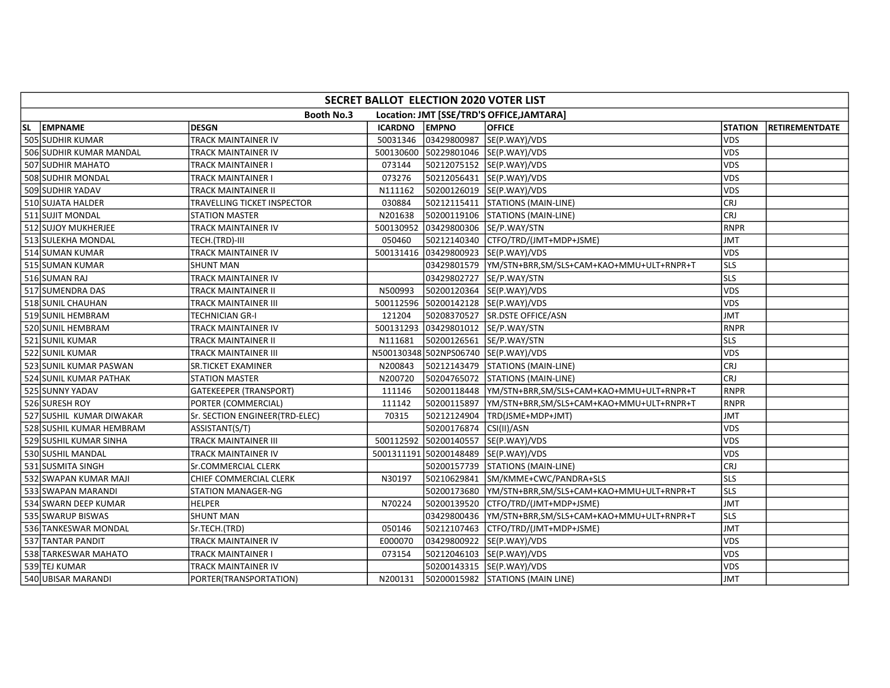| SECRET BALLOT ELECTION 2020 VOTER LIST |                                                                |                                |                |                         |                                                       |                |                       |  |  |
|----------------------------------------|----------------------------------------------------------------|--------------------------------|----------------|-------------------------|-------------------------------------------------------|----------------|-----------------------|--|--|
|                                        | <b>Booth No.3</b><br>Location: JMT [SSE/TRD'S OFFICE, JAMTARA] |                                |                |                         |                                                       |                |                       |  |  |
| SL.                                    | EMPNAME                                                        | <b>DESGN</b>                   | <b>ICARDNO</b> | <b>EMPNO</b>            | <b>OFFICE</b>                                         | <b>STATION</b> | <b>RETIREMENTDATE</b> |  |  |
|                                        | 505 SUDHIR KUMAR                                               | <b>TRACK MAINTAINER IV</b>     | 50031346       | 03429800987             | SE(P.WAY)/VDS                                         | <b>VDS</b>     |                       |  |  |
|                                        | 506 SUDHIR KUMAR MANDAL                                        | TRACK MAINTAINER IV            |                |                         | 500130600 50229801046 SE(P.WAY)/VDS                   | <b>VDS</b>     |                       |  |  |
|                                        | 507 SUDHIR MAHATO                                              | TRACK MAINTAINER I             | 073144         |                         | 50212075152  SE(P.WAY)/VDS                            | <b>VDS</b>     |                       |  |  |
|                                        | 508 SUDHIR MONDAL                                              | TRACK MAINTAINER I             | 073276         |                         | 50212056431 SE(P.WAY)/VDS                             | <b>VDS</b>     |                       |  |  |
|                                        | 509 SUDHIR YADAV                                               | TRACK MAINTAINER II            | N111162        |                         | 50200126019  SE(P.WAY)/VDS                            | <b>VDS</b>     |                       |  |  |
|                                        | 510 SUJATA HALDER                                              | TRAVELLING TICKET INSPECTOR    | 030884         |                         | 50212115411 STATIONS (MAIN-LINE)                      | <b>CRJ</b>     |                       |  |  |
|                                        | 511 SUJIT MONDAL                                               | <b>STATION MASTER</b>          | N201638        |                         | 50200119106 STATIONS (MAIN-LINE)                      | CRJ            |                       |  |  |
|                                        | 512 SUJOY MUKHERJEE                                            | TRACK MAINTAINER IV            |                |                         | 500130952 03429800306 SE/P.WAY/STN                    | <b>RNPR</b>    |                       |  |  |
|                                        | 513 SULEKHA MONDAL                                             | TECH.(TRD)-III                 | 050460         |                         | 50212140340   CTFO/TRD/(JMT+MDP+JSME)                 | <b>JMT</b>     |                       |  |  |
|                                        | 514 SUMAN KUMAR                                                | TRACK MAINTAINER IV            |                |                         | 500131416 03429800923 SE(P.WAY)/VDS                   | <b>VDS</b>     |                       |  |  |
|                                        | 515 SUMAN KUMAR                                                | <b>SHUNT MAN</b>               |                |                         | 03429801579  YM/STN+BRR,SM/SLS+CAM+KAO+MMU+ULT+RNPR+T | <b>SLS</b>     |                       |  |  |
|                                        | 516 SUMAN RAJ                                                  | TRACK MAINTAINER IV            |                |                         | 03429802727  SE/P.WAY/STN                             | <b>SLS</b>     |                       |  |  |
|                                        | 517 SUMENDRA DAS                                               | TRACK MAINTAINER II            | N500993        |                         | 50200120364 SE(P.WAY)/VDS                             | <b>VDS</b>     |                       |  |  |
|                                        | 518 SUNIL CHAUHAN                                              | TRACK MAINTAINER III           |                |                         | 500112596 50200142128 SE(P.WAY)/VDS                   | <b>VDS</b>     |                       |  |  |
|                                        | 519 SUNIL HEMBRAM                                              | TECHNICIAN GR-I                | 121204         |                         | 50208370527 SR.DSTE OFFICE/ASN                        | <b>JMT</b>     |                       |  |  |
|                                        | 520 SUNIL HEMBRAM                                              | TRACK MAINTAINER IV            |                |                         | 500131293 03429801012 SE/P.WAY/STN                    | RNPR           |                       |  |  |
|                                        | 521 SUNIL KUMAR                                                | TRACK MAINTAINER II            | N111681        | 50200126561             | SE/P.WAY/STN                                          | lsls           |                       |  |  |
|                                        | 522 SUNIL KUMAR                                                | TRACK MAINTAINER III           |                |                         | N500130348 502NPS06740 SE(P.WAY)/VDS                  | <b>VDS</b>     |                       |  |  |
|                                        | 523 SUNIL KUMAR PASWAN                                         | SR.TICKET EXAMINER             | N200843        |                         | 50212143479 STATIONS (MAIN-LINE)                      | CRJ            |                       |  |  |
|                                        | 524 SUNIL KUMAR PATHAK                                         | <b>STATION MASTER</b>          | N200720        |                         | 50204765072 STATIONS (MAIN-LINE)                      | CRJ            |                       |  |  |
|                                        | 525 SUNNY YADAV                                                | <b>GATEKEEPER (TRANSPORT)</b>  | 111146         |                         | 50200118448  YM/STN+BRR,SM/SLS+CAM+KAO+MMU+ULT+RNPR+T | RNPR           |                       |  |  |
|                                        | 526 SURESH ROY                                                 | PORTER (COMMERCIAL)            | 111142         |                         | 50200115897  YM/STN+BRR,SM/SLS+CAM+KAO+MMU+ULT+RNPR+T | <b>RNPR</b>    |                       |  |  |
|                                        | 527 SUSHIL KUMAR DIWAKAR                                       | Sr. SECTION ENGINEER(TRD-ELEC) | 70315          |                         | 50212124904 TRD(JSME+MDP+JMT)                         | <b>JMT</b>     |                       |  |  |
|                                        | 528 SUSHIL KUMAR HEMBRAM                                       | ASSISTANT(S/T)                 |                | 50200176874 CSI(II)/ASN |                                                       | <b>VDS</b>     |                       |  |  |
|                                        | 529 SUSHIL KUMAR SINHA                                         | TRACK MAINTAINER III           |                |                         | 500112592 50200140557 SE(P.WAY)/VDS                   | <b>VDS</b>     |                       |  |  |
|                                        | 530 SUSHIL MANDAL                                              | TRACK MAINTAINER IV            |                |                         | 5001311191 50200148489 SE(P.WAY)/VDS                  | <b>VDS</b>     |                       |  |  |
|                                        | 531 SUSMITA SINGH                                              | Sr.COMMERCIAL CLERK            |                |                         | 50200157739 STATIONS (MAIN-LINE)                      | CRJ            |                       |  |  |
|                                        | 532 SWAPAN KUMAR MAJI                                          | CHIEF COMMERCIAL CLERK         | N30197         |                         | 50210629841 SM/KMME+CWC/PANDRA+SLS                    | lsls           |                       |  |  |
|                                        | 533 SWAPAN MARANDI                                             | STATION MANAGER-NG             |                | 50200173680             | YM/STN+BRR,SM/SLS+CAM+KAO+MMU+ULT+RNPR+T              | SLS            |                       |  |  |
|                                        | 534 SWARN DEEP KUMAR                                           | <b>HELPER</b>                  | N70224         |                         | 50200139520   CTFO/TRD/(JMT+MDP+JSME)                 | <b>JMT</b>     |                       |  |  |
|                                        | 535 SWARUP BISWAS                                              | <b>SHUNT MAN</b>               |                |                         |                                                       | <b>SLS</b>     |                       |  |  |
|                                        | 536 TANKESWAR MONDAL                                           | Sr.TECH.(TRD)                  | 050146         |                         | 50212107463   CTFO/TRD/(JMT+MDP+JSME)                 | <b>JMT</b>     |                       |  |  |
|                                        | 537 TANTAR PANDIT                                              | TRACK MAINTAINER IV            | E000070        |                         | 03429800922 SE(P.WAY)/VDS                             | <b>VDS</b>     |                       |  |  |
|                                        | 538 TARKESWAR MAHATO                                           | TRACK MAINTAINER I             | 073154         |                         | 50212046103 SE(P.WAY)/VDS                             | <b>VDS</b>     |                       |  |  |
|                                        | 539 TEJ KUMAR                                                  | TRACK MAINTAINER IV            |                |                         | 50200143315 SE(P.WAY)/VDS                             | <b>VDS</b>     |                       |  |  |
|                                        | 540 UBISAR MARANDI                                             | PORTER(TRANSPORTATION)         | N200131        |                         | 50200015982 STATIONS (MAIN LINE)                      | JMT            |                       |  |  |